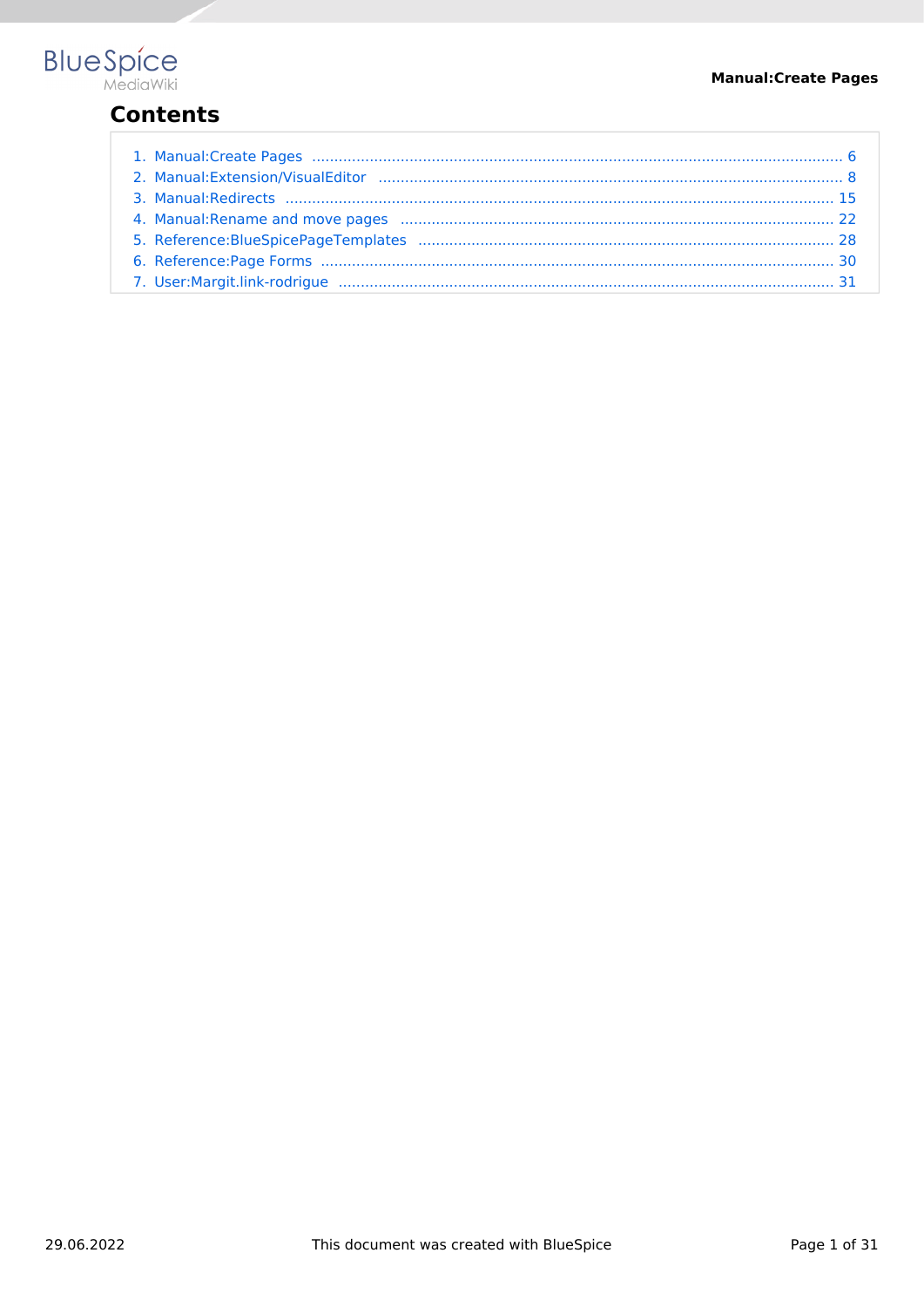

# **Contents**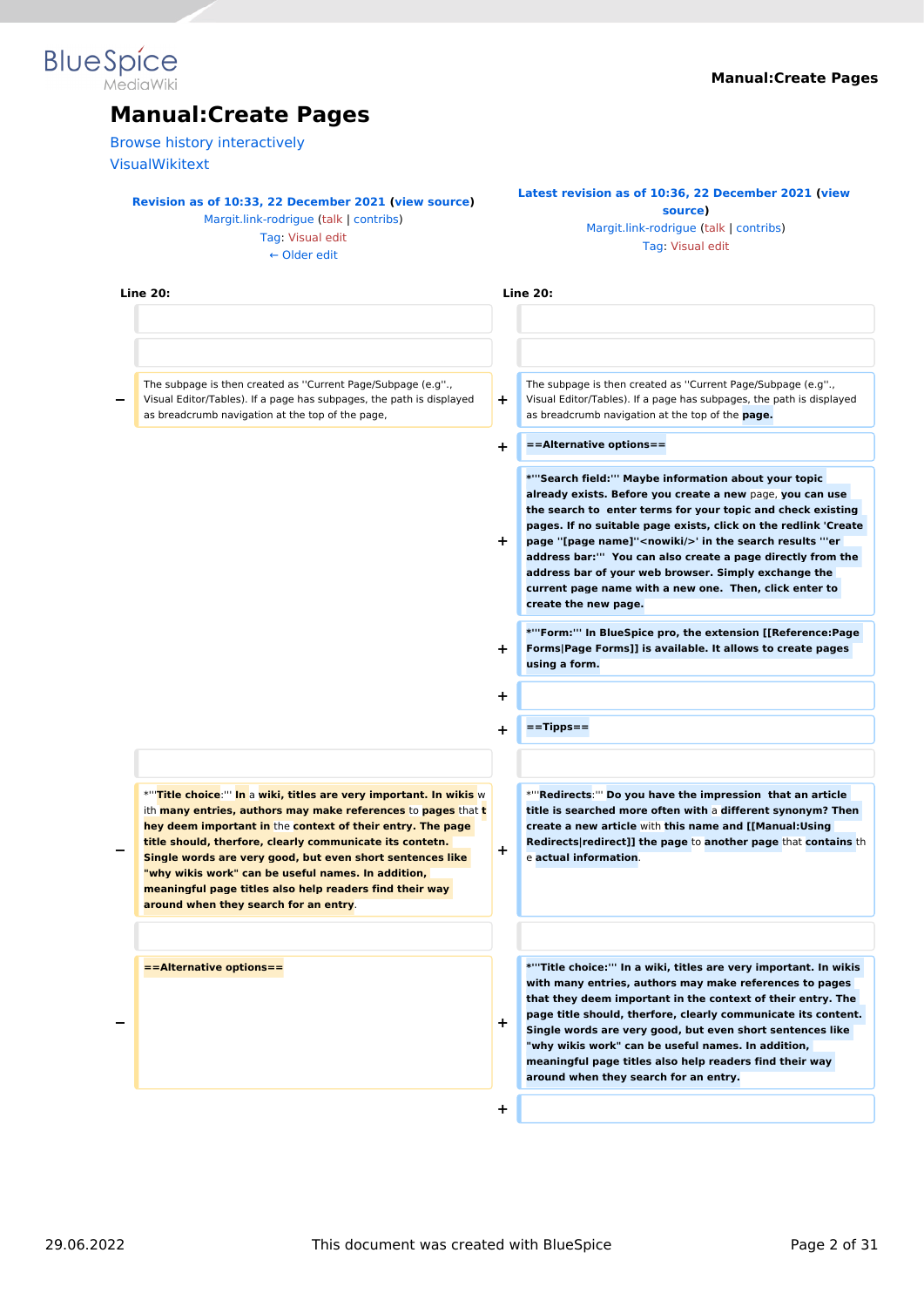# **Blue** Spice

# **Manual:Create Pages**

[Browse history interactively](https://en.wiki.bluespice.com)

[VisualWikitext](https://en.wiki.bluespice.com)

#### **[Revision as of 10:33, 22 December 2021](#page-5-0) ([view source\)](#page-5-0)**

[Margit.link-rodrigue](#page-30-0) ([talk](https://en.wiki.bluespice.com/w/index.php?title=User_talk:Margit.link-rodrigue&action=view) | [contribs](https://en.wiki.bluespice.com/wiki/Special:Contributions/Margit.link-rodrigue)) [Tag](https://en.wiki.bluespice.com/wiki/Special:Tags): [Visual edit](https://en.wiki.bluespice.com/w/index.php?title=Site:VisualEditor&action=view)

[← Older edit](#page-5-0)

#### **[Latest revision as of 10:36, 22 December 2021](#page-5-0) [\(view](#page-5-0)  [source](#page-5-0))** [Margit.link-rodrigue](#page-30-0) [\(talk](https://en.wiki.bluespice.com/w/index.php?title=User_talk:Margit.link-rodrigue&action=view) | [contribs\)](https://en.wiki.bluespice.com/wiki/Special:Contributions/Margit.link-rodrigue)

[Tag:](https://en.wiki.bluespice.com/wiki/Special:Tags) [Visual edit](https://en.wiki.bluespice.com/w/index.php?title=Site:VisualEditor&action=view)

| <b>Line 20:</b>                                                                                                                                                                                                                                                                                                                                                                                                                                                                                    |        | <b>Line 20:</b>                                                                                                                                                                                                                                                                                                                                                                                                                                                                                                                    |
|----------------------------------------------------------------------------------------------------------------------------------------------------------------------------------------------------------------------------------------------------------------------------------------------------------------------------------------------------------------------------------------------------------------------------------------------------------------------------------------------------|--------|------------------------------------------------------------------------------------------------------------------------------------------------------------------------------------------------------------------------------------------------------------------------------------------------------------------------------------------------------------------------------------------------------------------------------------------------------------------------------------------------------------------------------------|
|                                                                                                                                                                                                                                                                                                                                                                                                                                                                                                    |        |                                                                                                                                                                                                                                                                                                                                                                                                                                                                                                                                    |
| The subpage is then created as "Current Page/Subpage (e.g".,<br>Visual Editor/Tables). If a page has subpages, the path is displayed<br>as breadcrumb navigation at the top of the page,                                                                                                                                                                                                                                                                                                           | ÷      | The subpage is then created as "Current Page/Subpage (e.g".,<br>Visual Editor/Tables). If a page has subpages, the path is displayed<br>as breadcrumb navigation at the top of the page.                                                                                                                                                                                                                                                                                                                                           |
|                                                                                                                                                                                                                                                                                                                                                                                                                                                                                                    | ÷      | ==Alternative options==                                                                                                                                                                                                                                                                                                                                                                                                                                                                                                            |
|                                                                                                                                                                                                                                                                                                                                                                                                                                                                                                    | ÷.     | *"'Search field:"' Maybe information about your topic<br>already exists. Before you create a new page, you can use<br>the search to enter terms for your topic and check existing<br>pages. If no suitable page exists, click on the redlink 'Create<br>page "[page name]" <nowiki></nowiki> ' in the search results "'er<br>address bar:"" You can also create a page directly from the<br>address bar of your web browser. Simply exchange the<br>current page name with a new one. Then, click enter to<br>create the new page. |
|                                                                                                                                                                                                                                                                                                                                                                                                                                                                                                    | ÷.     | *"'Form:"' In BlueSpice pro, the extension [[Reference:Page<br>Forms Page Forms]] is available. It allows to create pages<br>using a form.                                                                                                                                                                                                                                                                                                                                                                                         |
|                                                                                                                                                                                                                                                                                                                                                                                                                                                                                                    | +      |                                                                                                                                                                                                                                                                                                                                                                                                                                                                                                                                    |
|                                                                                                                                                                                                                                                                                                                                                                                                                                                                                                    | $\div$ | $==$ Tipps==                                                                                                                                                                                                                                                                                                                                                                                                                                                                                                                       |
| *"Title choice:"" In a wiki, titles are very important. In wikis w<br>ith <b>many entries, authors may make references</b> to <b>pages</b> that t<br>hey deem important in the context of their entry. The page<br>title should, therfore, clearly communicate its contetn.<br>Single words are very good, but even short sentences like<br>"why wikis work" can be useful names. In addition,<br>meaningful page titles also help readers find their way<br>around when they search for an entry. | ٠      | *""Redirects:"" Do you have the impression that an article<br>title is searched more often with a different synonym? Then<br>create a new article with this name and [[Manual:Using<br>Redirects redirect]] the page to another page that contains th<br>e actual information.                                                                                                                                                                                                                                                     |
| ==Alternative options==                                                                                                                                                                                                                                                                                                                                                                                                                                                                            | ÷.     | *"Title choice:"' In a wiki, titles are very important. In wikis<br>with many entries, authors may make references to pages<br>that they deem important in the context of their entry. The<br>page title should, therfore, clearly communicate its content.<br>Single words are very good, but even short sentences like<br>"why wikis work" can be useful names. In addition,<br>meaningful page titles also help readers find their way<br>around when they search for an entry.                                                 |
|                                                                                                                                                                                                                                                                                                                                                                                                                                                                                                    | +      |                                                                                                                                                                                                                                                                                                                                                                                                                                                                                                                                    |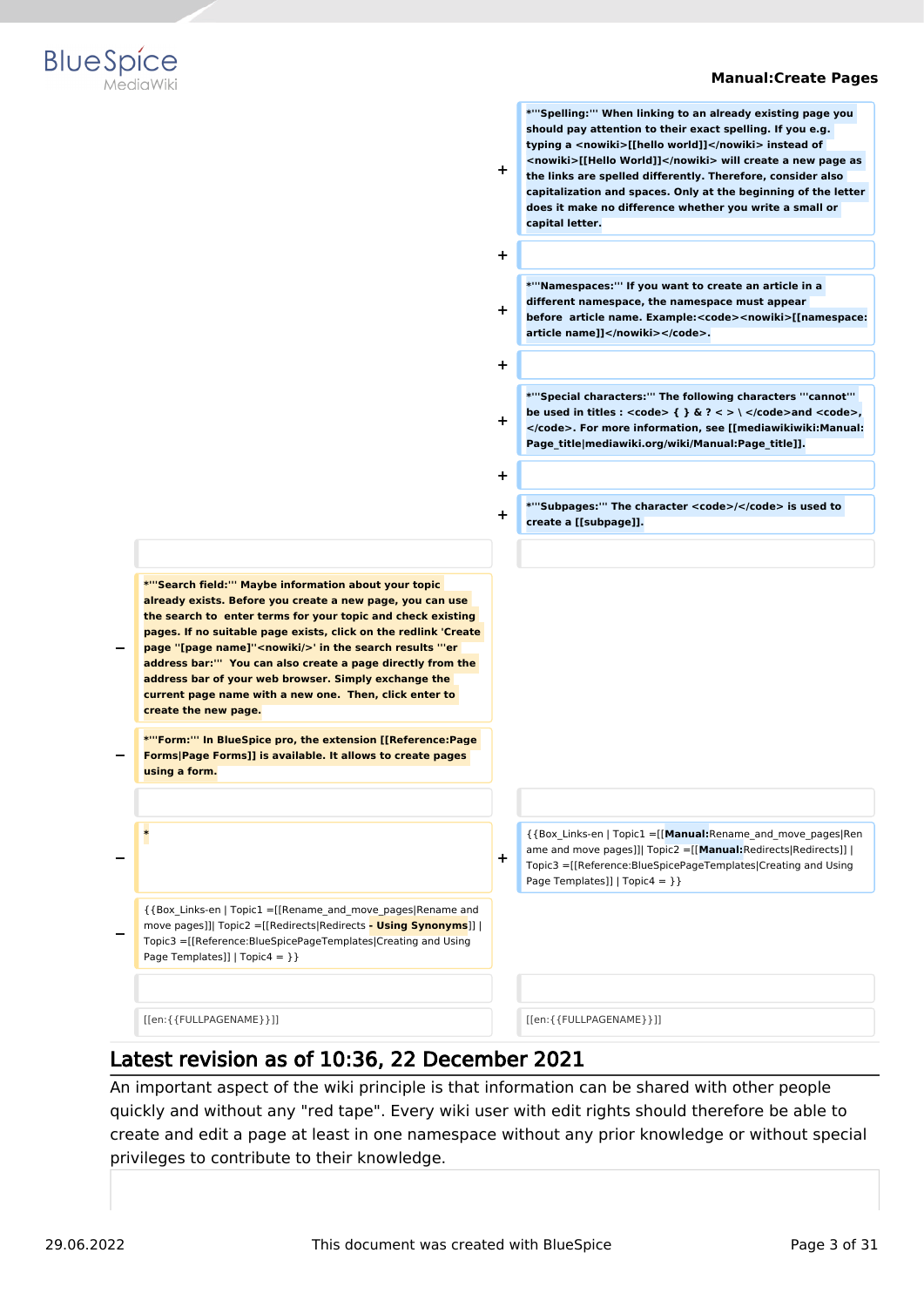

**\*'''Spelling:''' When linking to an already existing page you should pay attention to their exact spelling. If you e.g. typing a <nowiki>[[hello world]]</nowiki> instead of <nowiki>[[Hello World]]</nowiki> will create a new page as the links are spelled differently. Therefore, consider also capitalization and spaces. Only at the beginning of the letter does it make no difference whether you write a small or** 



**+ + \*'''Namespaces:''' If you want to create an article in a different namespace, the namespace must appear before article name. Example:<code><nowiki>[[namespace: article name]]</nowiki></code>. + + \*'''Special characters:''' The following characters '''cannot'''**  be used in titles :  $<$ code>  $\{ \}$ & $?$  < > \  $<$ /code>and  $<$ code>, **</code>. For more information, see [[mediawikiwiki:Manual: Page\_title|mediawiki.org/wiki/Manual:Page\_title]]. + + \*'''Subpages:''' The character <code>/</code> is used to create a [[subpage]]. − \*'''Search field:''' Maybe information about your topic already exists. Before you create a new page, you can use the search to enter terms for your topic and check existing pages. If no suitable page exists, click on the redlink 'Create page ''[page name]''<nowiki/>' in the search results '''er address bar:''' You can also create a page directly from the address bar of your web browser. Simply exchange the current page name with a new one. Then, click enter to create the new page. − \*'''Form:''' In BlueSpice pro, the extension [[Reference:Page Forms|Page Forms]] is available. It allows to create pages using a form. − \* +** {{Box\_Links-en | Topic1 =[[**Manual:**Rename\_and\_move\_pages|Ren ame and move pages]]| Topic2 =[[**Manual:**Redirects|Redirects]] | Topic3 =[[Reference:BlueSpicePageTemplates|Creating and Using Page Templates]] |  $Topic4 = \}$ **−** {{Box\_Links-en | Topic1 =[[Rename\_and\_move\_pages|Rename and move pages]]| Topic2 =[[Redirects|Redirects **- Using Synonyms**]] | Topic3 =[[Reference:BlueSpicePageTemplates|Creating and Using Page Templates]] | Topic4 = } } [[en:{{FULLPAGENAME}}]] [[en:{{FULLPAGENAME}}]]

**+**

**capital letter.**

# Latest revision as of 10:36, 22 December 2021

An important aspect of the wiki principle is that information can be shared with other people quickly and without any "red tape". Every wiki user with edit rights should therefore be able to create and edit a page at least in one namespace without any prior knowledge or without special privileges to contribute to their knowledge.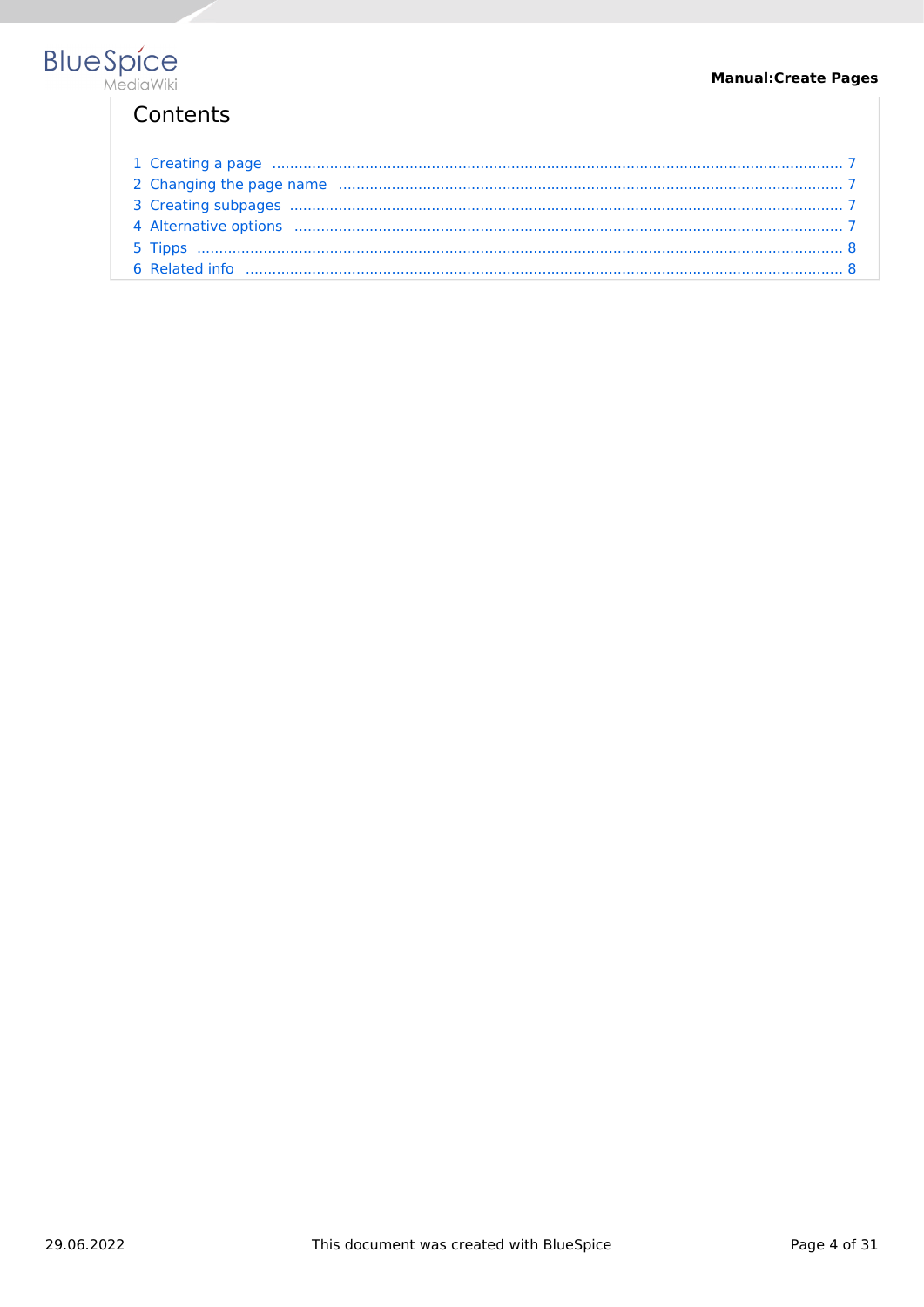# Contents

| 1 Creating a page manufactured and a contract of the contract of the contract of the contract of the contract of the contract of the contract of the contract of the contract of the contract of the contract of the contract |  |
|-------------------------------------------------------------------------------------------------------------------------------------------------------------------------------------------------------------------------------|--|
|                                                                                                                                                                                                                               |  |
|                                                                                                                                                                                                                               |  |
|                                                                                                                                                                                                                               |  |
|                                                                                                                                                                                                                               |  |
|                                                                                                                                                                                                                               |  |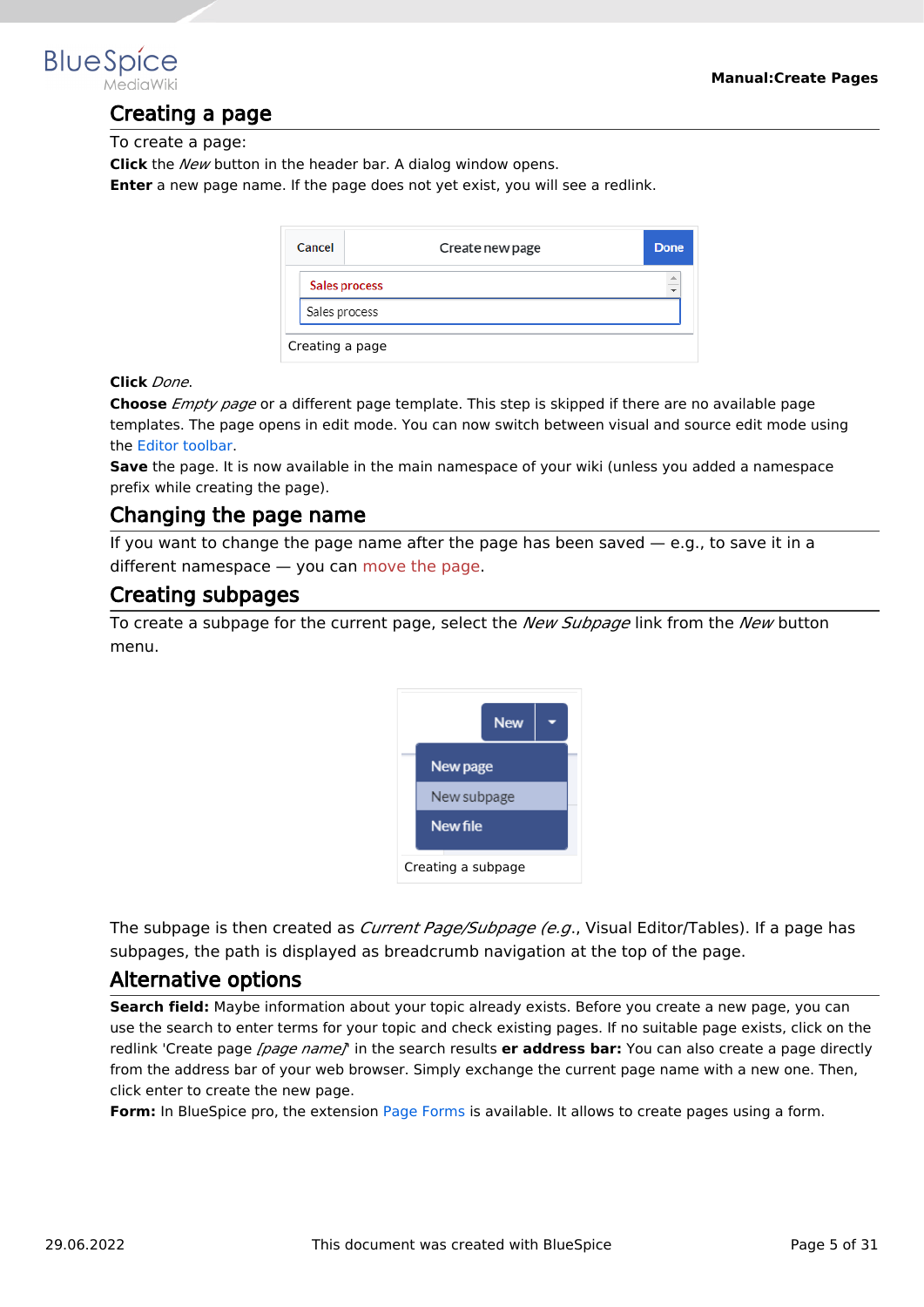

# Creating a page

To create a page:

**Click** the *New* button in the header bar. A dialog window opens.

**Enter** a new page name. If the page does not yet exist, you will see a redlink.

| Cancel        | Create new page      | Done      |
|---------------|----------------------|-----------|
|               | <b>Sales process</b> | $\hat{=}$ |
| Sales process |                      |           |
|               | Creating a page      |           |

#### **Click** *Done*.

**Choose** *Empty page* or a different page template. This step is skipped if there are no available page templates. The page opens in edit mode. You can now switch between visual and source edit mode using the [Editor toolbar.](#page-7-0)

**Save** the page. It is now available in the main namespace of your wiki (unless you added a namespace prefix while creating the page).

### Changing the page name

If you want to change the page name after the page has been saved  $-$  e.g., to save it in a different namespace — you can [move the page](https://en.wiki.bluespice.com/w/index.php?title=Manual:Rename_and_move_a_page&action=view).

#### Creating subpages

To create a subpage for the current page, select the *New Subpage* link from the *New* button menu.



The subpage is then created as *Current Page/Subpage (e.g*., Visual Editor/Tables). If a page has subpages, the path is displayed as breadcrumb navigation at the top of the page.

#### Alternative options

**Search field:** Maybe information about your topic already exists. Before you create a new page, you can use the search to enter terms for your topic and check existing pages. If no suitable page exists, click on the redlink 'Create page *[page name]*' in the search results **er address bar:** You can also create a page directly from the address bar of your web browser. Simply exchange the current page name with a new one. Then, click enter to create the new page.

**Form:** In BlueSpice pro, the extension [Page Forms](#page-29-0) is available. It allows to create pages using a form.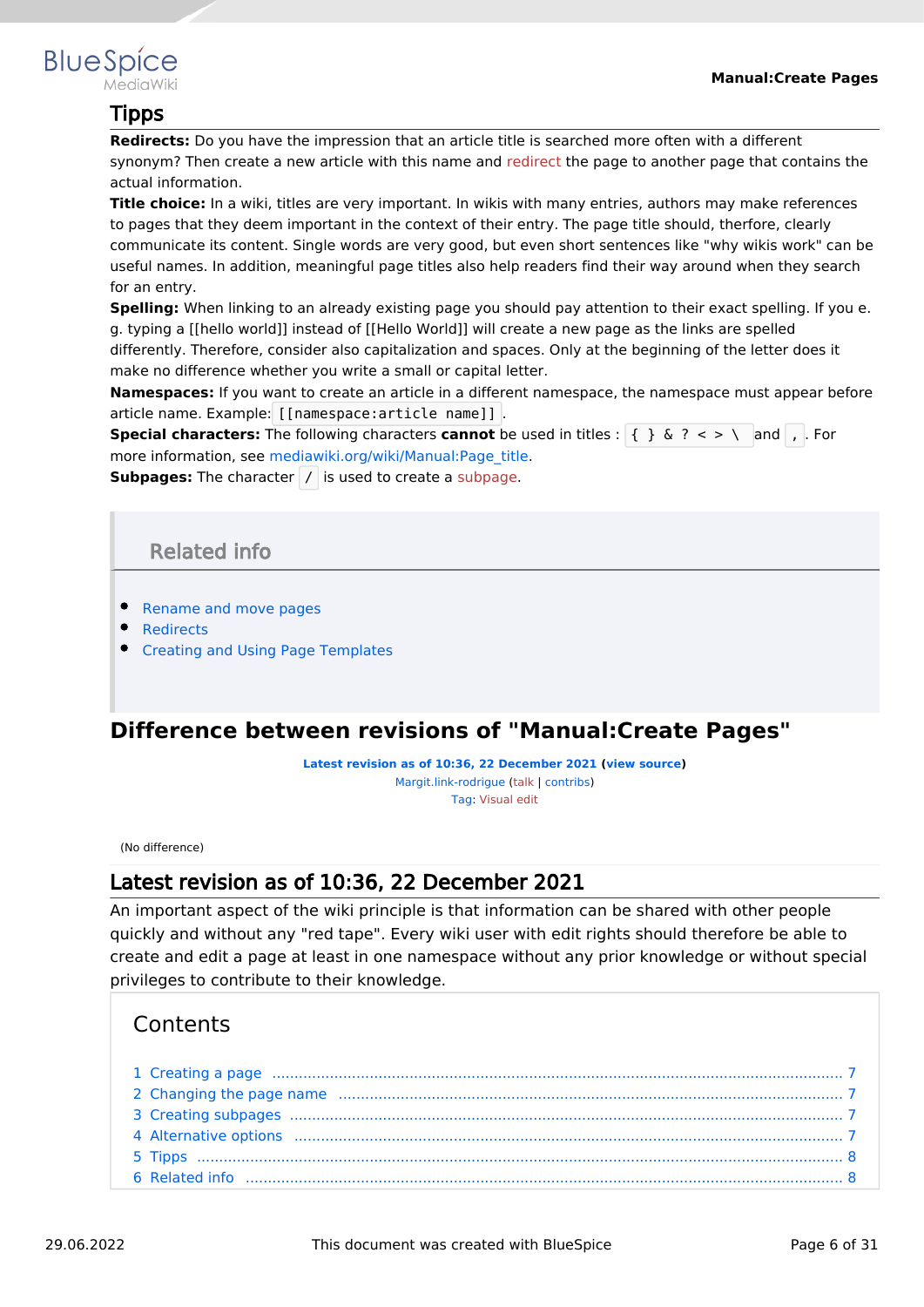

# Tipps

**Redirects:** Do you have the impression that an article title is searched more often with a different synonym? Then create a new article with this name and [redirect](https://en.wiki.bluespice.com/w/index.php?title=Manual:Using_Redirects&action=view) the page to another page that contains the actual information.

**Title choice:** In a wiki, titles are very important. In wikis with many entries, authors may make references to pages that they deem important in the context of their entry. The page title should, therfore, clearly communicate its content. Single words are very good, but even short sentences like "why wikis work" can be useful names. In addition, meaningful page titles also help readers find their way around when they search for an entry.

**Spelling:** When linking to an already existing page you should pay attention to their exact spelling. If you e. g. typing a [[hello world]] instead of [[Hello World]] will create a new page as the links are spelled differently. Therefore, consider also capitalization and spaces. Only at the beginning of the letter does it make no difference whether you write a small or capital letter.

**Namespaces:** If you want to create an article in a different namespace, the namespace must appear before article name. Example: [[namespace:article name]] .

**Special characters:** The following characters **cannot** be used in titles : { } & ? < > \ and , . For more information, see [mediawiki.org/wiki/Manual:Page\\_title.](https://www.mediawiki.org/wiki/Manual:Page_title)

**Subpages:** The character / is used to create a [subpage](https://en.wiki.bluespice.com/w/index.php?title=Subpage&action=view).

# Related info

- [Rename and move pages](#page-21-0)
- [Redirects](#page-14-0)
- **[Creating and Using Page Templates](#page-27-0)**

# <span id="page-5-0"></span>**Difference between revisions of "Manual:Create Pages"**

**[Latest revision as of 10:36, 22 December 2021](#page-5-0) ([view source](#page-5-0))** [Margit.link-rodrigue](#page-30-0) ([talk](https://en.wiki.bluespice.com/w/index.php?title=User_talk:Margit.link-rodrigue&action=view) | [contribs](https://en.wiki.bluespice.com/wiki/Special:Contributions/Margit.link-rodrigue)) [Tag](https://en.wiki.bluespice.com/wiki/Special:Tags): [Visual edit](https://en.wiki.bluespice.com/w/index.php?title=Site:VisualEditor&action=view)

(No difference)

# Latest revision as of 10:36, 22 December 2021

An important aspect of the wiki principle is that information can be shared with other people quickly and without any "red tape". Every wiki user with edit rights should therefore be able to create and edit a page at least in one namespace without any prior knowledge or without special privileges to contribute to their knowledge.

# **Contents**

| 1 Creating a page manufactured and a contract of the contract of the contract of the contract of the contract of the contract of the contract of the contract of the contract of the contract of the contract of the contract |  |
|-------------------------------------------------------------------------------------------------------------------------------------------------------------------------------------------------------------------------------|--|
|                                                                                                                                                                                                                               |  |
|                                                                                                                                                                                                                               |  |
|                                                                                                                                                                                                                               |  |
|                                                                                                                                                                                                                               |  |
|                                                                                                                                                                                                                               |  |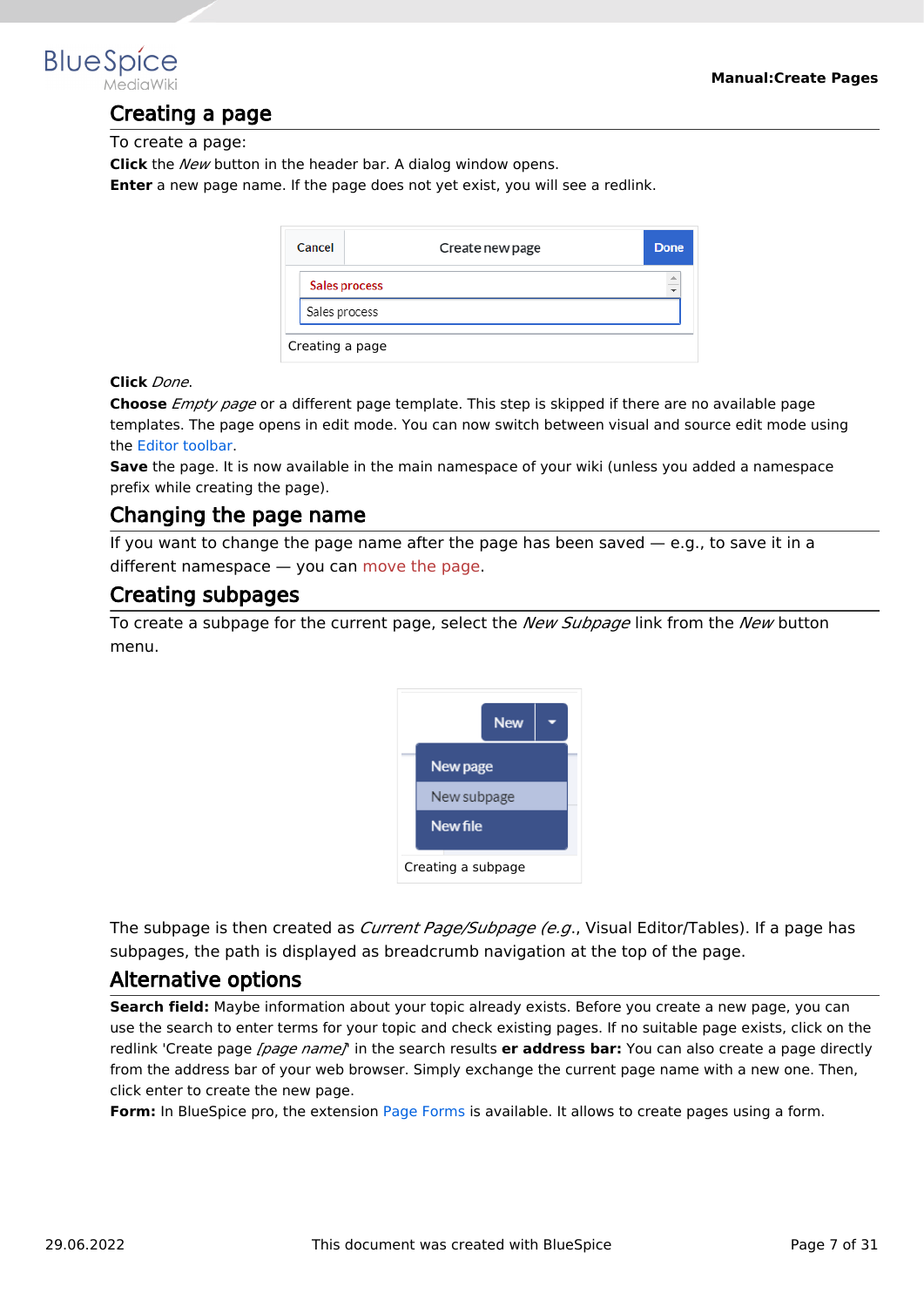<span id="page-6-0"></span>

# Creating a page

To create a page:

**Click** the *New* button in the header bar. A dialog window opens.

**Enter** a new page name. If the page does not yet exist, you will see a redlink.

| Cancel          | Create new page | Done      |  |
|-----------------|-----------------|-----------|--|
|                 | Sales process   | $\hat{=}$ |  |
| Sales process   |                 |           |  |
| Creating a page |                 |           |  |

#### **Click** *Done*.

**Choose** *Empty page* or a different page template. This step is skipped if there are no available page templates. The page opens in edit mode. You can now switch between visual and source edit mode using the [Editor toolbar.](#page-7-0)

**Save** the page. It is now available in the main namespace of your wiki (unless you added a namespace prefix while creating the page).

### <span id="page-6-1"></span>Changing the page name

If you want to change the page name after the page has been saved  $-$  e.g., to save it in a different namespace — you can [move the page](https://en.wiki.bluespice.com/w/index.php?title=Manual:Rename_and_move_a_page&action=view).

#### <span id="page-6-2"></span>Creating subpages

To create a subpage for the current page, select the *New Subpage* link from the *New* button menu.



The subpage is then created as *Current Page/Subpage (e.g*., Visual Editor/Tables). If a page has subpages, the path is displayed as breadcrumb navigation at the top of the page.

#### <span id="page-6-3"></span>Alternative options

**Search field:** Maybe information about your topic already exists. Before you create a new page, you can use the search to enter terms for your topic and check existing pages. If no suitable page exists, click on the redlink 'Create page *[page name]*' in the search results **er address bar:** You can also create a page directly from the address bar of your web browser. Simply exchange the current page name with a new one. Then, click enter to create the new page.

**Form:** In BlueSpice pro, the extension [Page Forms](#page-29-0) is available. It allows to create pages using a form.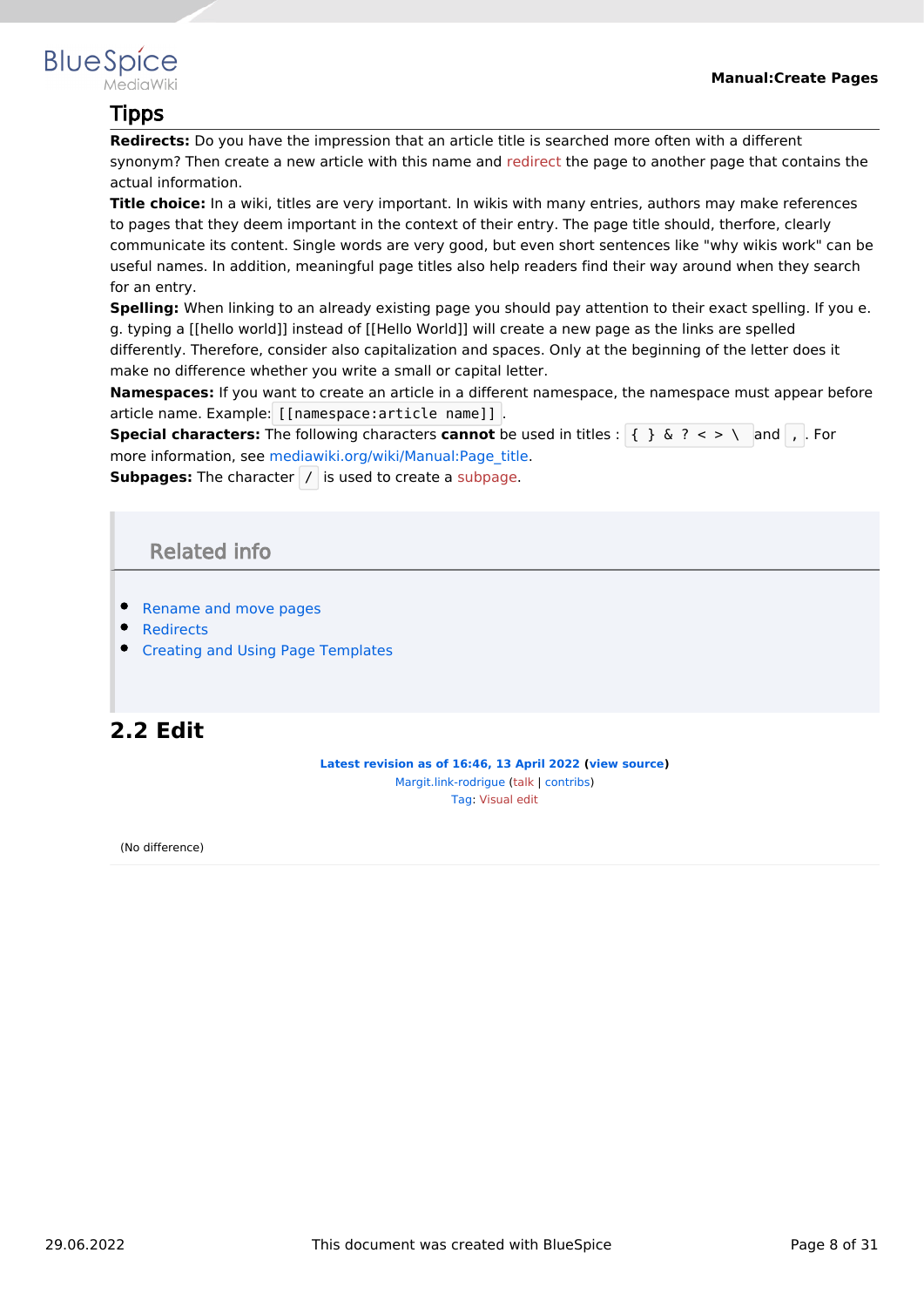<span id="page-7-1"></span>

# Tipps

**Redirects:** Do you have the impression that an article title is searched more often with a different synonym? Then create a new article with this name and [redirect](https://en.wiki.bluespice.com/w/index.php?title=Manual:Using_Redirects&action=view) the page to another page that contains the actual information.

**Title choice:** In a wiki, titles are very important. In wikis with many entries, authors may make references to pages that they deem important in the context of their entry. The page title should, therfore, clearly communicate its content. Single words are very good, but even short sentences like "why wikis work" can be useful names. In addition, meaningful page titles also help readers find their way around when they search for an entry.

**Spelling:** When linking to an already existing page you should pay attention to their exact spelling. If you e. g. typing a [[hello world]] instead of [[Hello World]] will create a new page as the links are spelled differently. Therefore, consider also capitalization and spaces. Only at the beginning of the letter does it make no difference whether you write a small or capital letter.

**Namespaces:** If you want to create an article in a different namespace, the namespace must appear before article name. Example: [[namespace:article name]] .

**Special characters:** The following characters **cannot** be used in titles : { } & ? < > \ and , . For more information, see [mediawiki.org/wiki/Manual:Page\\_title.](https://www.mediawiki.org/wiki/Manual:Page_title)

<span id="page-7-2"></span>**Subpages:** The character / is used to create a [subpage](https://en.wiki.bluespice.com/w/index.php?title=Subpage&action=view).

# Related info

- [Rename and move pages](#page-21-0)
- [Redirects](#page-14-0)
- **[Creating and Using Page Templates](#page-27-0)**

# <span id="page-7-0"></span>**2.2 Edit**

**[Latest revision as of 16:46, 13 April 2022](#page-7-0) ([view source](#page-7-0))** [Margit.link-rodrigue](#page-30-0) ([talk](https://en.wiki.bluespice.com/w/index.php?title=User_talk:Margit.link-rodrigue&action=view) | [contribs](https://en.wiki.bluespice.com/wiki/Special:Contributions/Margit.link-rodrigue)) [Tag](https://en.wiki.bluespice.com/wiki/Special:Tags): [Visual edit](https://en.wiki.bluespice.com/w/index.php?title=Site:VisualEditor&action=view)

(No difference)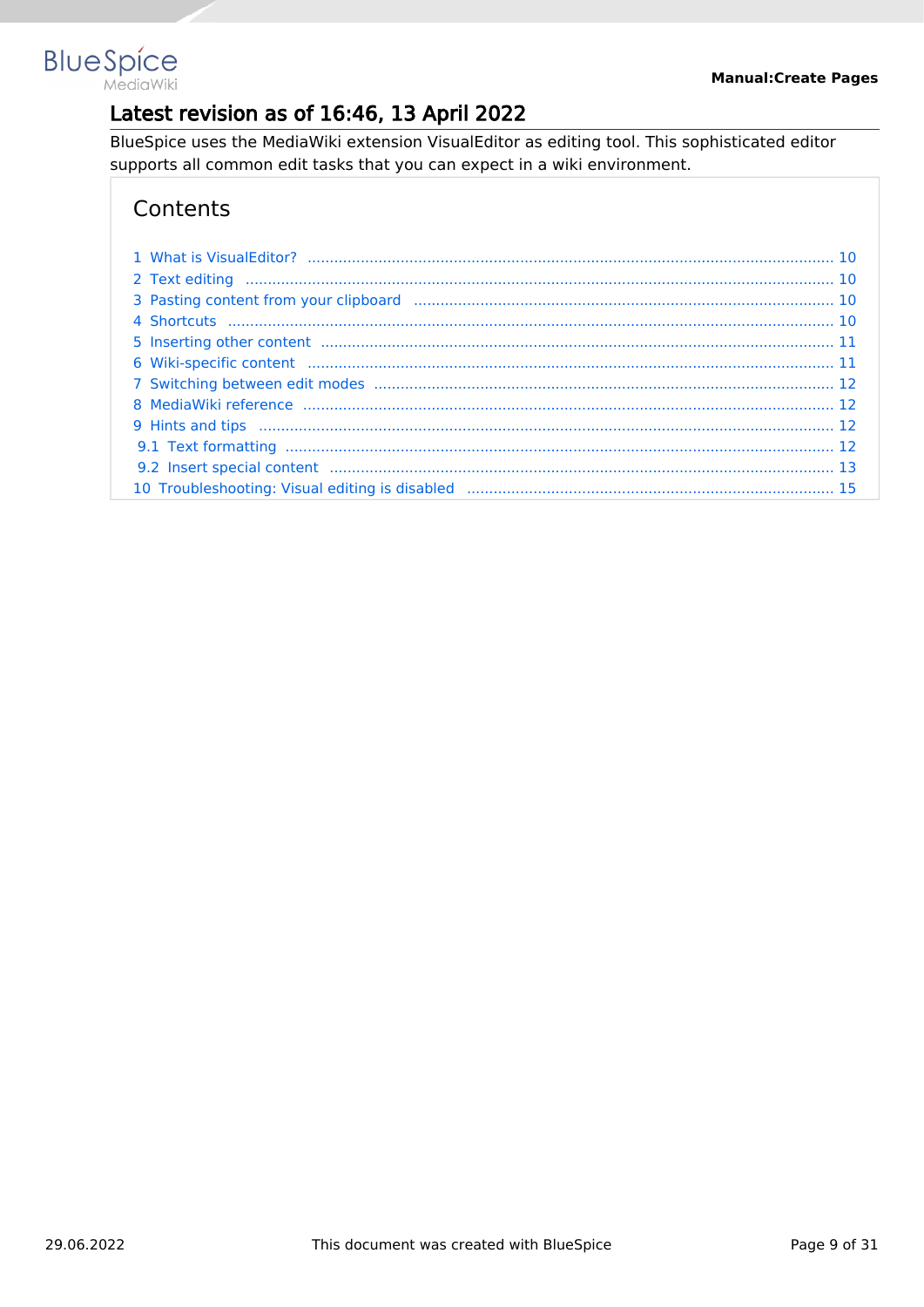

# Latest revision as of 16:46, 13 April 2022

BlueSpice uses the MediaWiki extension VisualEditor as editing tool. This sophisticated editor supports all common edit tasks that you can expect in a wiki environment.

# Contents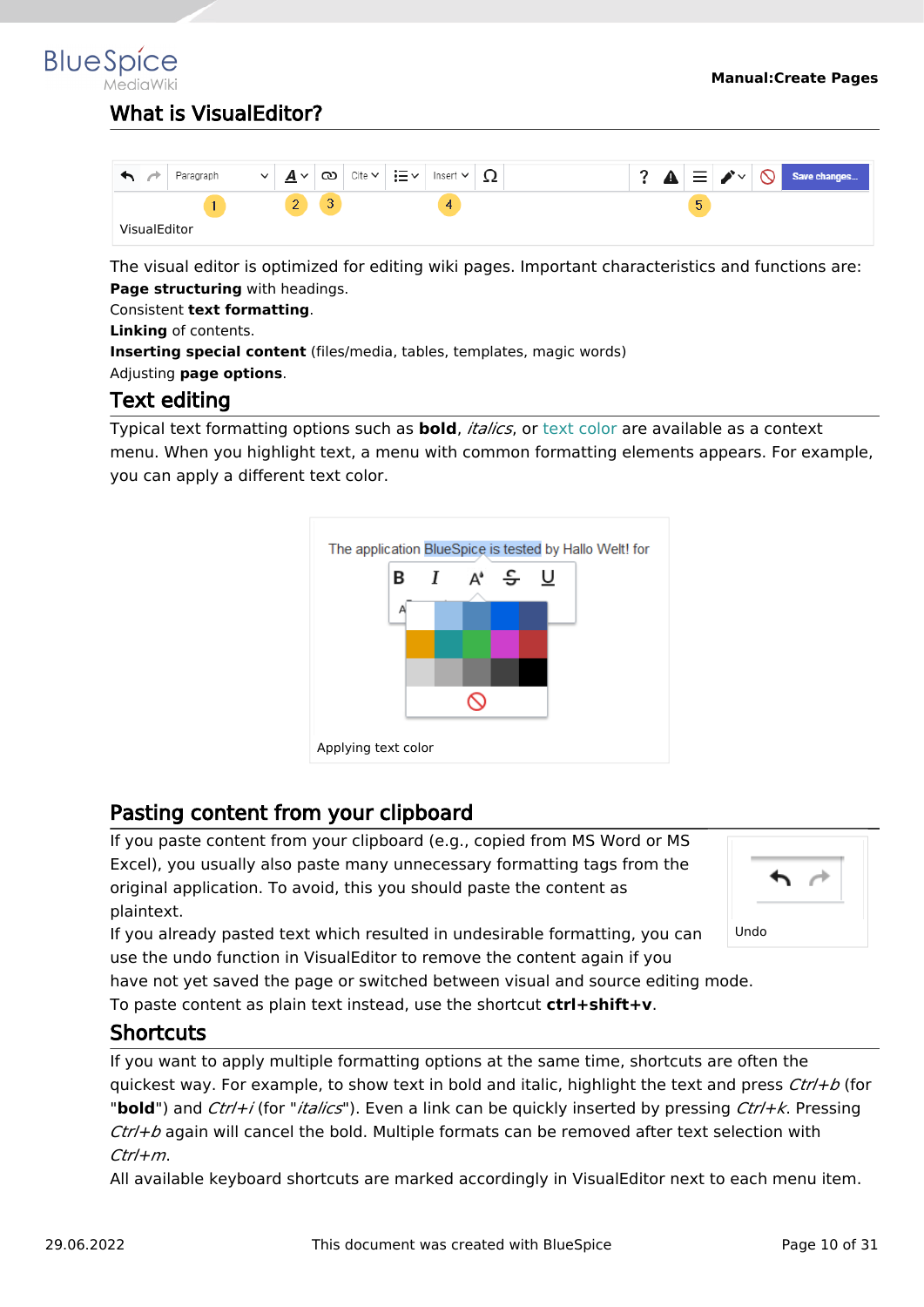<span id="page-9-0"></span>**BlueSpice** 

# What is VisualEditor?

|                     | Paragraph | $\checkmark$<br>Δ<br>⋍ | ඟ<br>$\checkmark$           | Cite $\backsim$ | ≔∽<br>Insert $\vee$ | 77 |  | ឹ<br>- | 三 | $\blacktriangleright$<br>. . | $\mathsf{v}$ | Save changes |
|---------------------|-----------|------------------------|-----------------------------|-----------------|---------------------|----|--|--------|---|------------------------------|--------------|--------------|
|                     |           | c                      | $\sim$<br>$\mathbf{r}$<br>◡ |                 | 4                   |    |  |        | 5 |                              |              |              |
| <b>VisualEditor</b> |           |                        |                             |                 |                     |    |  |        |   |                              |              |              |

The visual editor is optimized for editing wiki pages. Important characteristics and functions are: **Page structuring** with headings.

Consistent **text formatting**.

**Linking** of contents.

**Inserting special content** (files/media, tables, templates, magic words)

<span id="page-9-1"></span>Adjusting **page options**.

# Text editing

Typical text formatting options such as **bold**, *italics*, or text color are available as a context menu. When you highlight text, a menu with common formatting elements appears. For example, you can apply a different text color.



# <span id="page-9-2"></span>Pasting content from your clipboard

If you paste content from your clipboard (e.g., copied from MS Word or MS Excel), you usually also paste many unnecessary formatting tags from the original application. To avoid, this you should paste the content as plaintext.

If you already pasted text which resulted in undesirable formatting, you can use the undo function in VisualEditor to remove the content again if you



have not yet saved the page or switched between visual and source editing mode.

To paste content as plain text instead, use the shortcut **ctrl+shift+v**.

# <span id="page-9-3"></span>**Shortcuts**

If you want to apply multiple formatting options at the same time, shortcuts are often the quickest way. For example, to show text in bold and italic, highlight the text and press *Ctrl+b* (for "**bold**") and *Ctrl+i* (for "*italics*"). Even a link can be quickly inserted by pressing *Ctrl+k*. Pressing *Ctrl+b* again will cancel the bold. Multiple formats can be removed after text selection with *Ctrl+m*.

All available keyboard shortcuts are marked accordingly in VisualEditor next to each menu item.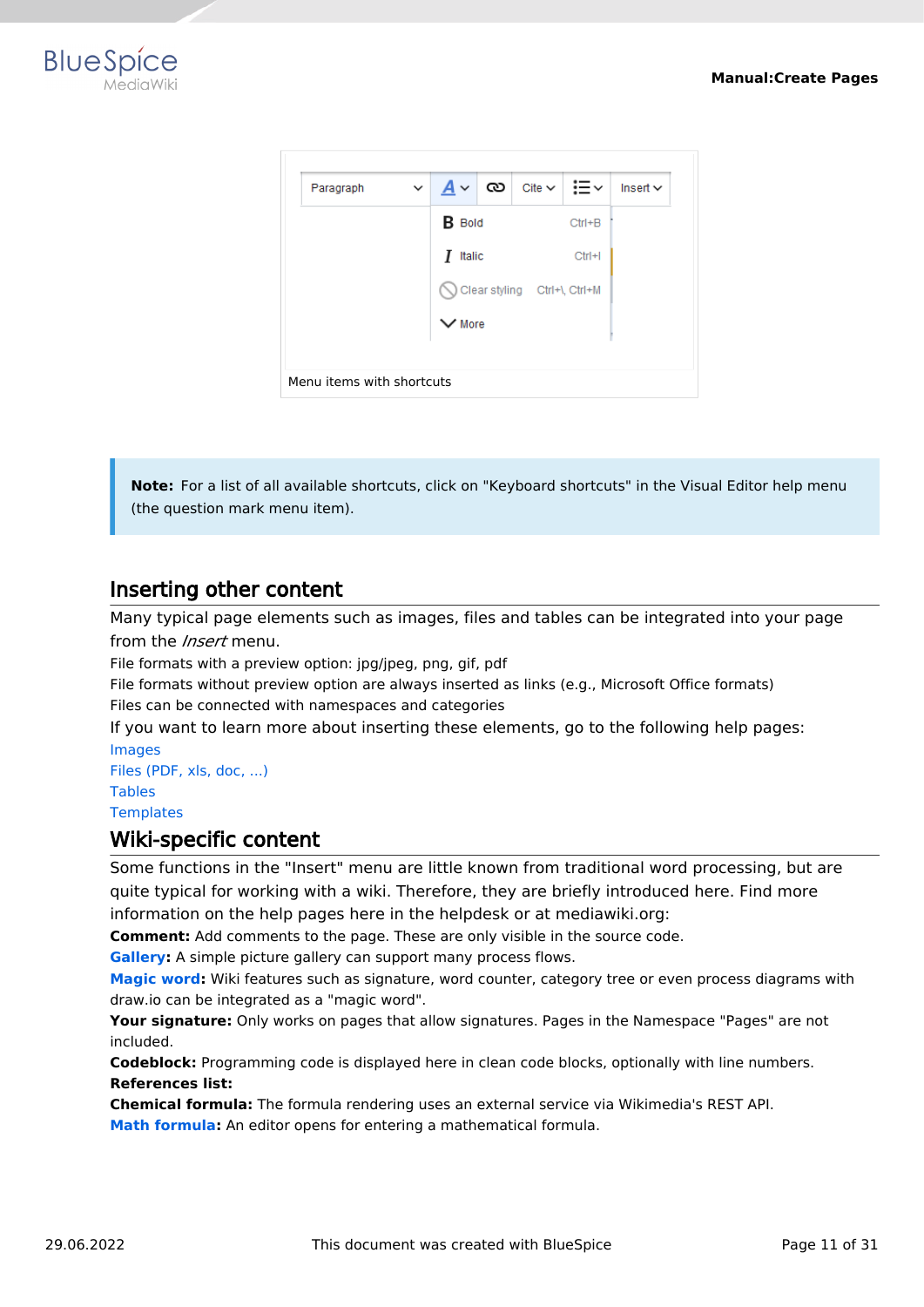



**Note:** For a list of all available shortcuts, click on "Keyboard shortcuts" in the Visual Editor help menu (the question mark menu item).

# <span id="page-10-0"></span>Inserting other content

Many typical page elements such as images, files and tables can be integrated into your page from the *Insert* menu.

File formats with a preview option: jpg/jpeg, png, gif, pdf

File formats without preview option are always inserted as links (e.g., Microsoft Office formats) Files can be connected with namespaces and categories

If you want to learn more about inserting these elements, go to the following help pages: [Images](https://en.wiki.bluespice.com/wiki/Manual:Extension/VisualEditor/Images)

[Files \(PDF, xls, doc, ...\)](https://en.wiki.bluespice.com/wiki/Manual:Extension/VisualEditor/Images) [Tables](https://en.wiki.bluespice.com/wiki/Manual:Extension/VisualEditor/Tables) **[Templates](https://en.wiki.bluespice.com/wiki/Manual:Templates)** 

#### <span id="page-10-1"></span>Wiki-specific content

Some functions in the "Insert" menu are little known from traditional word processing, but are quite typical for working with a wiki. Therefore, they are briefly introduced here. Find more information on the help pages here in the helpdesk or at mediawiki.org:

**Comment:** Add comments to the page. These are only visible in the source code.

**[Gallery:](https://www.mediawiki.org/wiki/Help:VisualEditor/User_guide#Editing_media_galleries)** A simple picture gallery can support many process flows.

**[Magic word](https://en.wiki.bluespice.com/wiki/Manual:MagicWords):** Wiki features such as signature, word counter, category tree or even process diagrams with draw.io can be integrated as a "magic word".

**Your signature:** Only works on pages that allow signatures. Pages in the Namespace "Pages" are not included.

**Codeblock:** Programming code is displayed here in clean code blocks, optionally with line numbers. **References list:**

**Chemical formula:** The formula rendering uses an external service via Wikimedia's REST API.

**[Math formula](https://www.mediawiki.org/wiki/Help:VisualEditor/User_guide/en#Editing_mathematical_formulae):** An editor opens for entering a mathematical formula.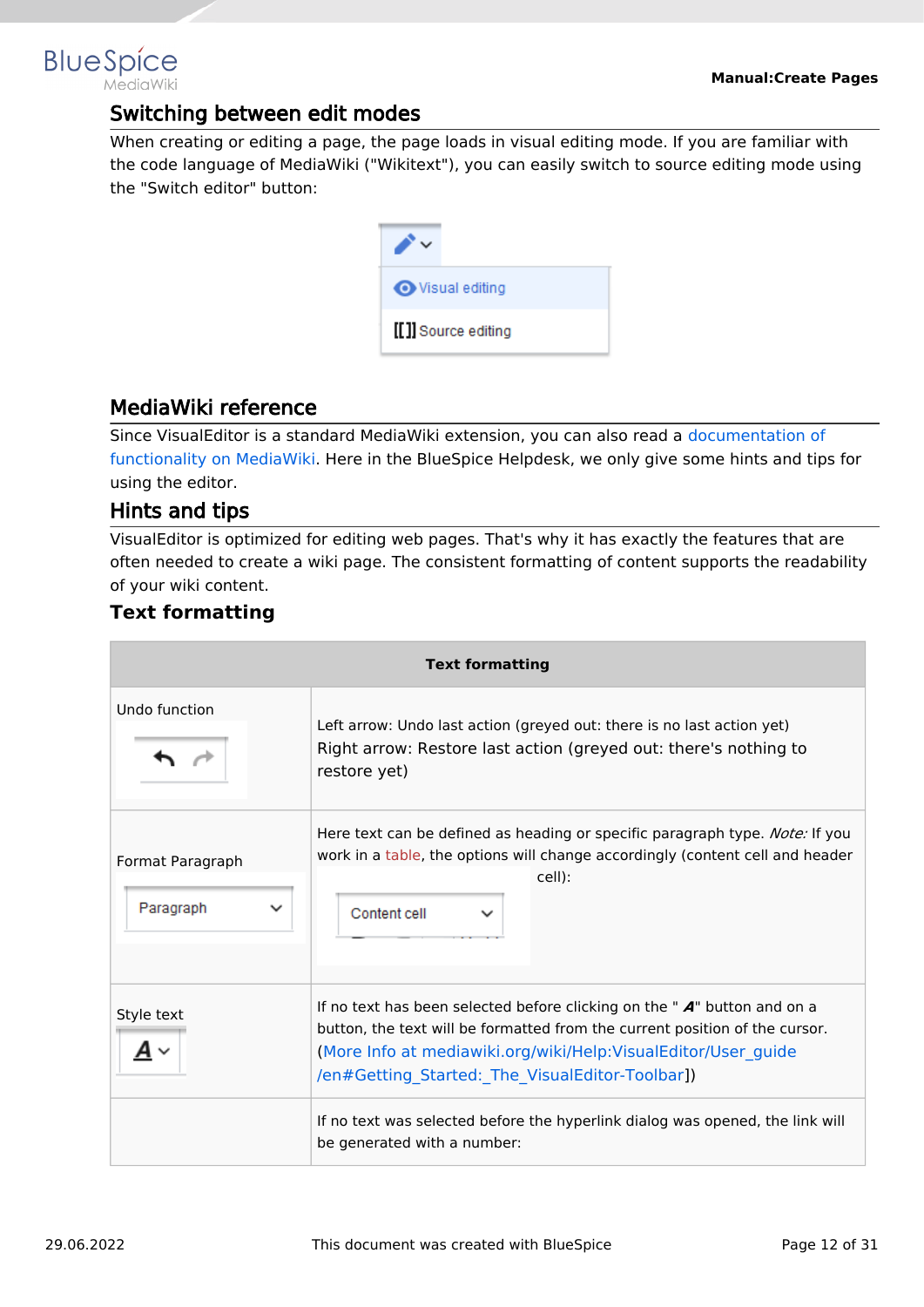# <span id="page-11-0"></span>**BlueSpice**

# Switching between edit modes

When creating or editing a page, the page loads in visual editing mode. If you are familiar with the code language of MediaWiki ("Wikitext"), you can easily switch to source editing mode using the "Switch editor" button:

| <b>◆</b> Visual editing |
|-------------------------|
| [[]] Source editing     |

# <span id="page-11-1"></span>MediaWiki reference

Since VisualEditor is a standard MediaWiki extension, you can also read a [documentation of](https://www.mediawiki.org/wiki/Help:VisualEditor/User_guide/en%7Ccomplete)  [functionality on MediaWiki](https://www.mediawiki.org/wiki/Help:VisualEditor/User_guide/en%7Ccomplete). Here in the BlueSpice Helpdesk, we only give some hints and tips for using the editor.

# <span id="page-11-2"></span>Hints and tips

VisualEditor is optimized for editing web pages. That's why it has exactly the features that are often needed to create a wiki page. The consistent formatting of content supports the readability of your wiki content.

# <span id="page-11-3"></span>**Text formatting**

| <b>Text formatting</b>                       |                                                                                                                                                                                                                                                                                |  |  |  |  |
|----------------------------------------------|--------------------------------------------------------------------------------------------------------------------------------------------------------------------------------------------------------------------------------------------------------------------------------|--|--|--|--|
| Undo function                                | Left arrow: Undo last action (greyed out: there is no last action yet)<br>Right arrow: Restore last action (greyed out: there's nothing to<br>restore yet)                                                                                                                     |  |  |  |  |
| Format Paragraph<br>Paragraph<br>$\check{ }$ | Here text can be defined as heading or specific paragraph type. Note: If you<br>work in a table, the options will change accordingly (content cell and header<br>cell):<br>Content cell                                                                                        |  |  |  |  |
| Style text                                   | If no text has been selected before clicking on the " $A$ " button and on a<br>button, the text will be formatted from the current position of the cursor.<br>(More Info at mediawiki.org/wiki/Help:VisualEditor/User_guide<br>/en#Getting_Started:_The_VisualEditor-Toolbar]) |  |  |  |  |
|                                              | If no text was selected before the hyperlink dialog was opened, the link will<br>be generated with a number:                                                                                                                                                                   |  |  |  |  |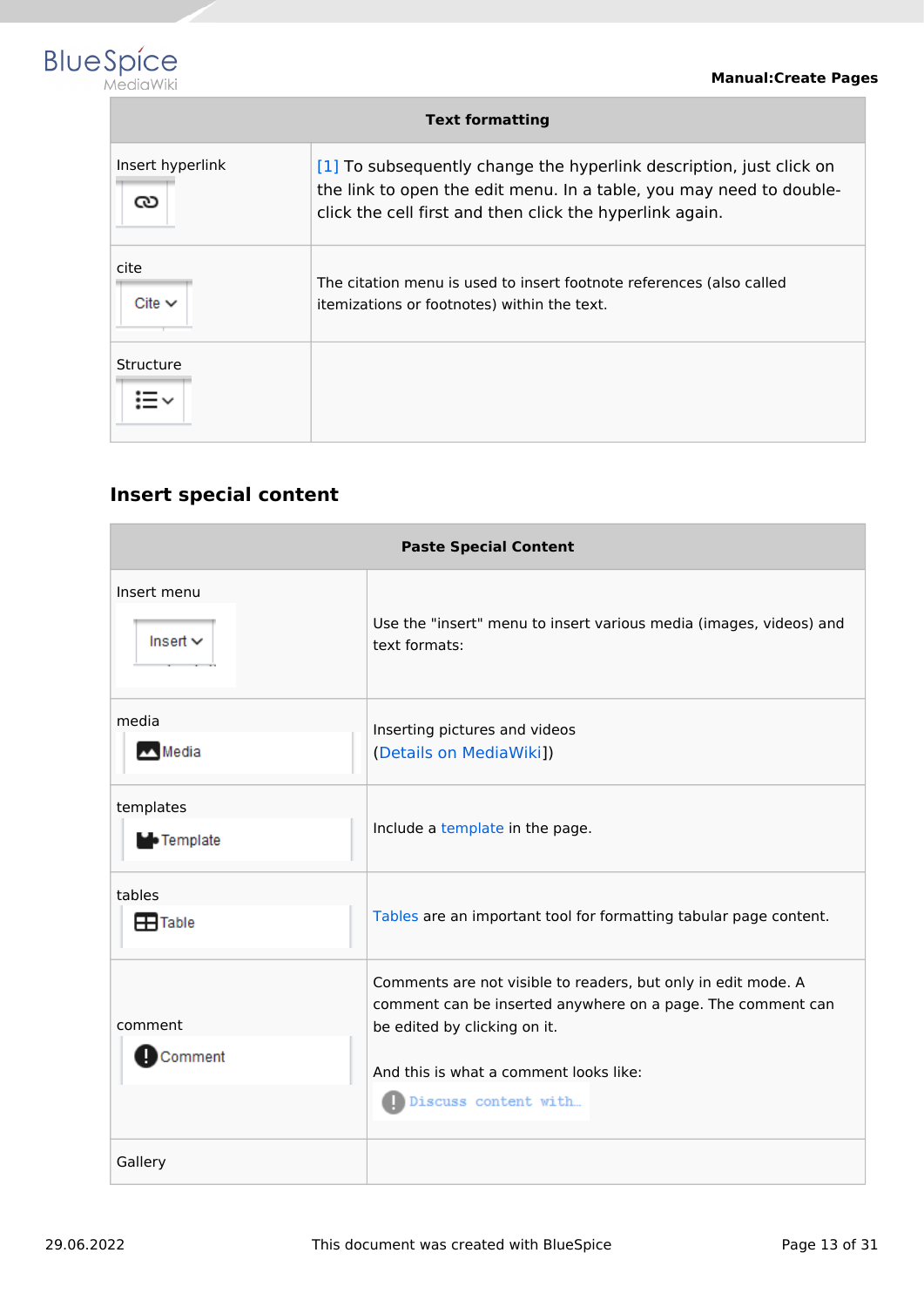

| <b>Text formatting</b> |                                                                                                                                                                                                        |  |  |  |  |
|------------------------|--------------------------------------------------------------------------------------------------------------------------------------------------------------------------------------------------------|--|--|--|--|
| Insert hyperlink<br>ు  | [1] To subsequently change the hyperlink description, just click on<br>the link to open the edit menu. In a table, you may need to double-<br>click the cell first and then click the hyperlink again. |  |  |  |  |
| cite<br>Cite $\vee$    | The citation menu is used to insert footnote references (also called<br>itemizations or footnotes) within the text.                                                                                    |  |  |  |  |
| Structure              |                                                                                                                                                                                                        |  |  |  |  |

# <span id="page-12-0"></span>**Insert special content**

| <b>Paste Special Content</b>   |                                                                                                                                                                                                                                |  |  |  |  |
|--------------------------------|--------------------------------------------------------------------------------------------------------------------------------------------------------------------------------------------------------------------------------|--|--|--|--|
| Insert menu<br>Insert $\sim$   | Use the "insert" menu to insert various media (images, videos) and<br>text formats:                                                                                                                                            |  |  |  |  |
| media<br>Media                 | Inserting pictures and videos<br>(Details on MediaWiki])                                                                                                                                                                       |  |  |  |  |
| templates<br><b>D</b> Template | Include a template in the page.                                                                                                                                                                                                |  |  |  |  |
| tables<br>$\mathbf{H}$ Table   | Tables are an important tool for formatting tabular page content.                                                                                                                                                              |  |  |  |  |
| comment<br>Comment             | Comments are not visible to readers, but only in edit mode. A<br>comment can be inserted anywhere on a page. The comment can<br>be edited by clicking on it.<br>And this is what a comment looks like:<br>Discuss content with |  |  |  |  |
| Gallery                        |                                                                                                                                                                                                                                |  |  |  |  |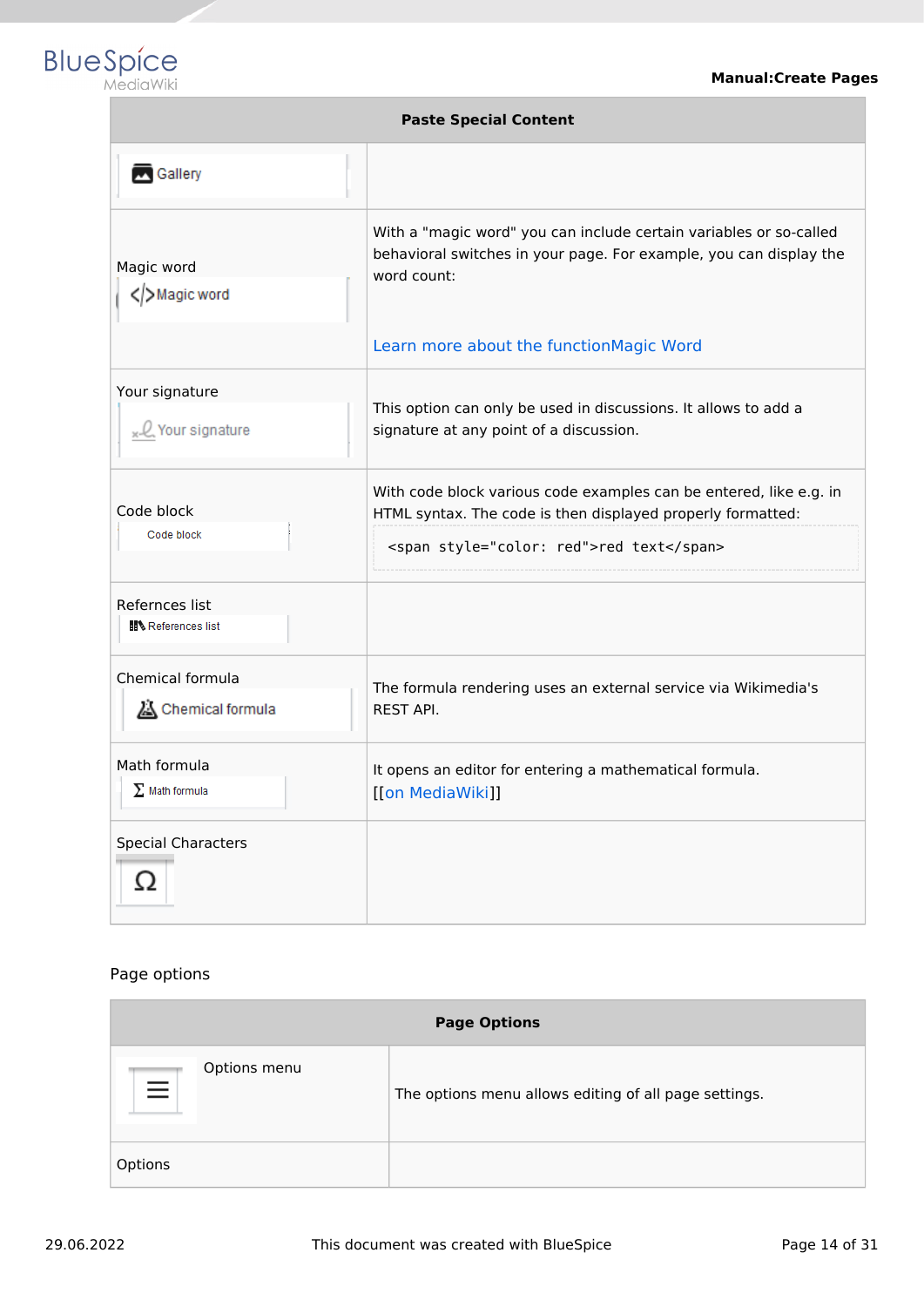

| <b>Paste Special Content</b>          |                                                                                                                                                                                                    |  |  |  |
|---------------------------------------|----------------------------------------------------------------------------------------------------------------------------------------------------------------------------------------------------|--|--|--|
| Gallery                               |                                                                                                                                                                                                    |  |  |  |
| Magic word<br>Magic word              | With a "magic word" you can include certain variables or so-called<br>behavioral switches in your page. For example, you can display the<br>word count:<br>Learn more about the functionMagic Word |  |  |  |
| Your signature<br>Q Your signature    | This option can only be used in discussions. It allows to add a<br>signature at any point of a discussion.                                                                                         |  |  |  |
| Code block<br>Code block              | With code block various code examples can be entered, like e.g. in<br>HTML syntax. The code is then displayed properly formatted:<br><span style="color: red">red text</span>                      |  |  |  |
| Refernces list<br>References list     |                                                                                                                                                                                                    |  |  |  |
| Chemical formula<br>Chemical formula  | The formula rendering uses an external service via Wikimedia's<br><b>REST API.</b>                                                                                                                 |  |  |  |
| Math formula<br>$\Sigma$ Math formula | It opens an editor for entering a mathematical formula.<br>[[on MediaWiki]]                                                                                                                        |  |  |  |
| <b>Special Characters</b><br>Ω        |                                                                                                                                                                                                    |  |  |  |

#### Page options

| <b>Page Options</b>      |                                                       |  |
|--------------------------|-------------------------------------------------------|--|
| Options menu<br>$\equiv$ | The options menu allows editing of all page settings. |  |
| Options                  |                                                       |  |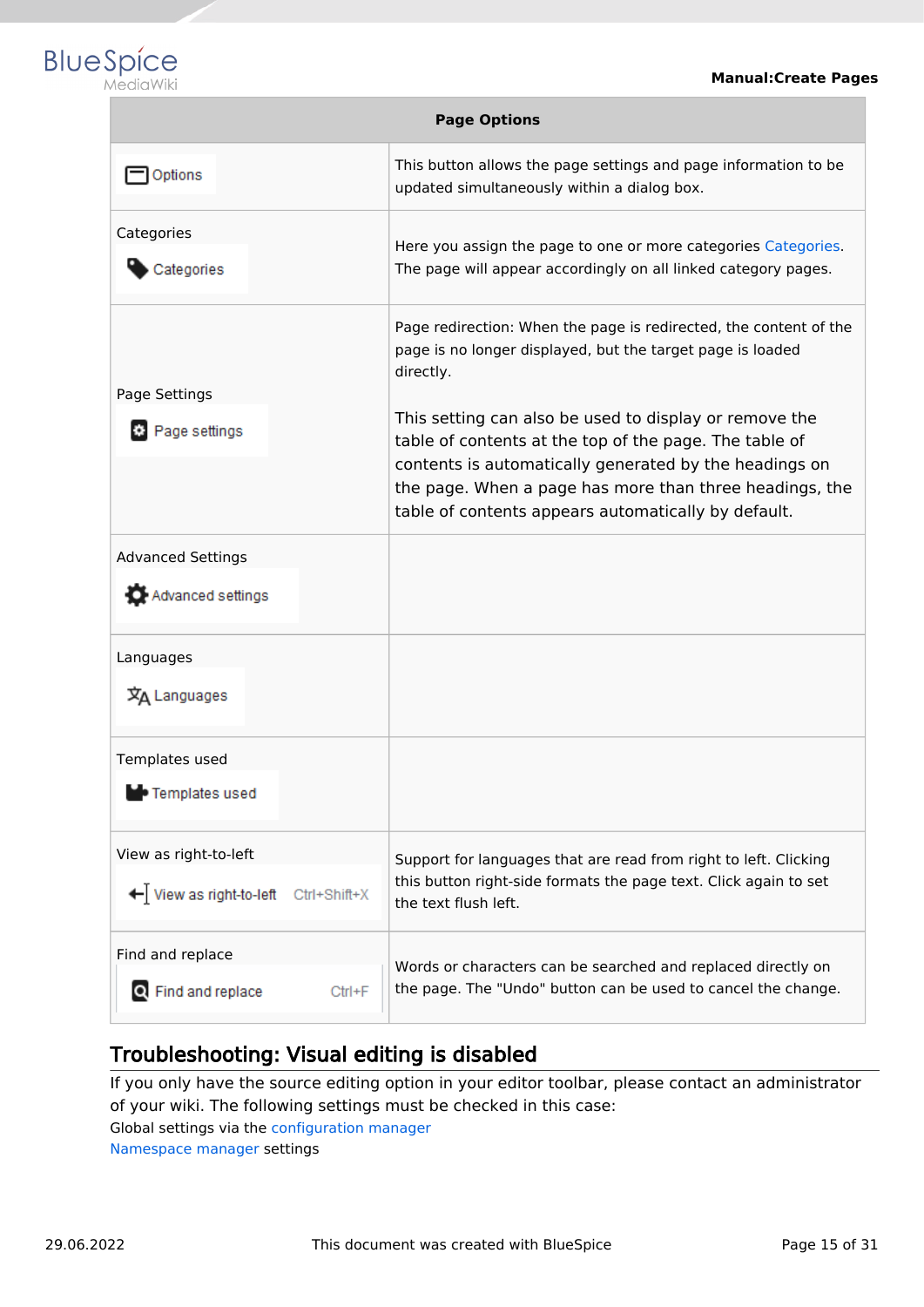

| <b>Page Options</b>                                              |                                                                                                                                                                                                                                                                                              |  |  |  |
|------------------------------------------------------------------|----------------------------------------------------------------------------------------------------------------------------------------------------------------------------------------------------------------------------------------------------------------------------------------------|--|--|--|
| Options                                                          | This button allows the page settings and page information to be<br>updated simultaneously within a dialog box.                                                                                                                                                                               |  |  |  |
| Categories<br>Categories                                         | Here you assign the page to one or more categories Categories.<br>The page will appear accordingly on all linked category pages.                                                                                                                                                             |  |  |  |
| Page Settings                                                    | Page redirection: When the page is redirected, the content of the<br>page is no longer displayed, but the target page is loaded<br>directly.                                                                                                                                                 |  |  |  |
| Page settings                                                    | This setting can also be used to display or remove the<br>table of contents at the top of the page. The table of<br>contents is automatically generated by the headings on<br>the page. When a page has more than three headings, the<br>table of contents appears automatically by default. |  |  |  |
| <b>Advanced Settings</b><br>Advanced settings                    |                                                                                                                                                                                                                                                                                              |  |  |  |
| Languages<br>文A Languages                                        |                                                                                                                                                                                                                                                                                              |  |  |  |
| Templates used<br>• Templates used                               |                                                                                                                                                                                                                                                                                              |  |  |  |
| View as right-to-left<br>← View as right-to-left<br>Ctrl+Shift+X | Support for languages that are read from right to left. Clicking<br>this button right-side formats the page text. Click again to set<br>the text flush left.                                                                                                                                 |  |  |  |
| Find and replace<br>Q Find and replace<br>$Ctrl + F$             | Words or characters can be searched and replaced directly on<br>the page. The "Undo" button can be used to cancel the change.                                                                                                                                                                |  |  |  |

# <span id="page-14-1"></span>Troubleshooting: Visual editing is disabled

If you only have the source editing option in your editor toolbar, please contact an administrator of your wiki. The following settings must be checked in this case:

Global settings via the [configuration manager](https://en.wiki.bluespice.com/wiki/Manual:Extension/BlueSpiceConfigManager)

<span id="page-14-0"></span>[Namespace manager](https://en.wiki.bluespice.com/wiki/Manual:Extension/BlueSpiceNamespaceManager) settings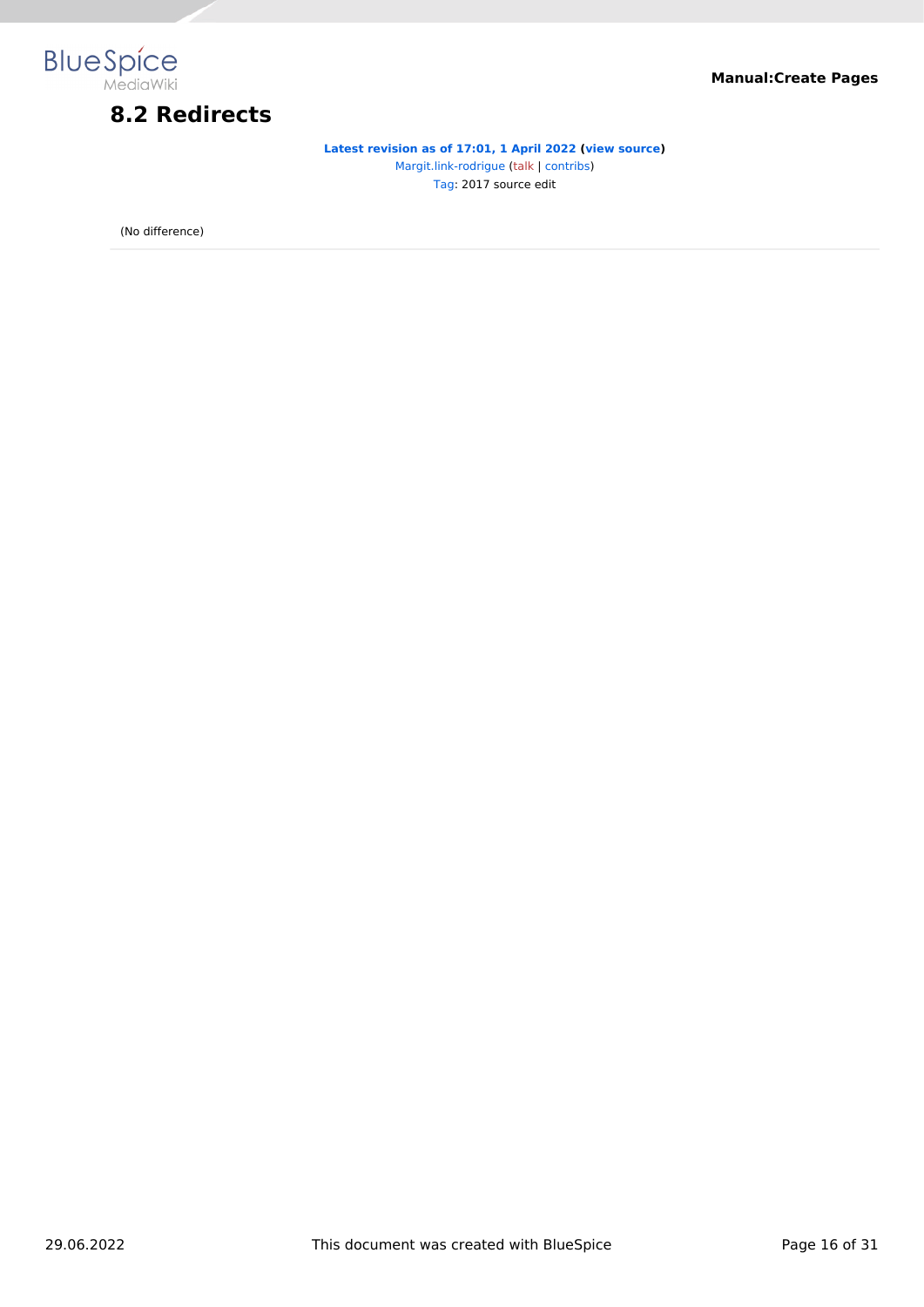

# **8.2 Redirects**

**[Latest revision as of 17:01, 1 April 2022](#page-14-0) [\(view source\)](#page-14-0)** [Margit.link-rodrigue](#page-30-0) ([talk](https://en.wiki.bluespice.com/w/index.php?title=User_talk:Margit.link-rodrigue&action=view) | [contribs](https://en.wiki.bluespice.com/wiki/Special:Contributions/Margit.link-rodrigue)) [Tag:](https://en.wiki.bluespice.com/wiki/Special:Tags) 2017 source edit

(No difference)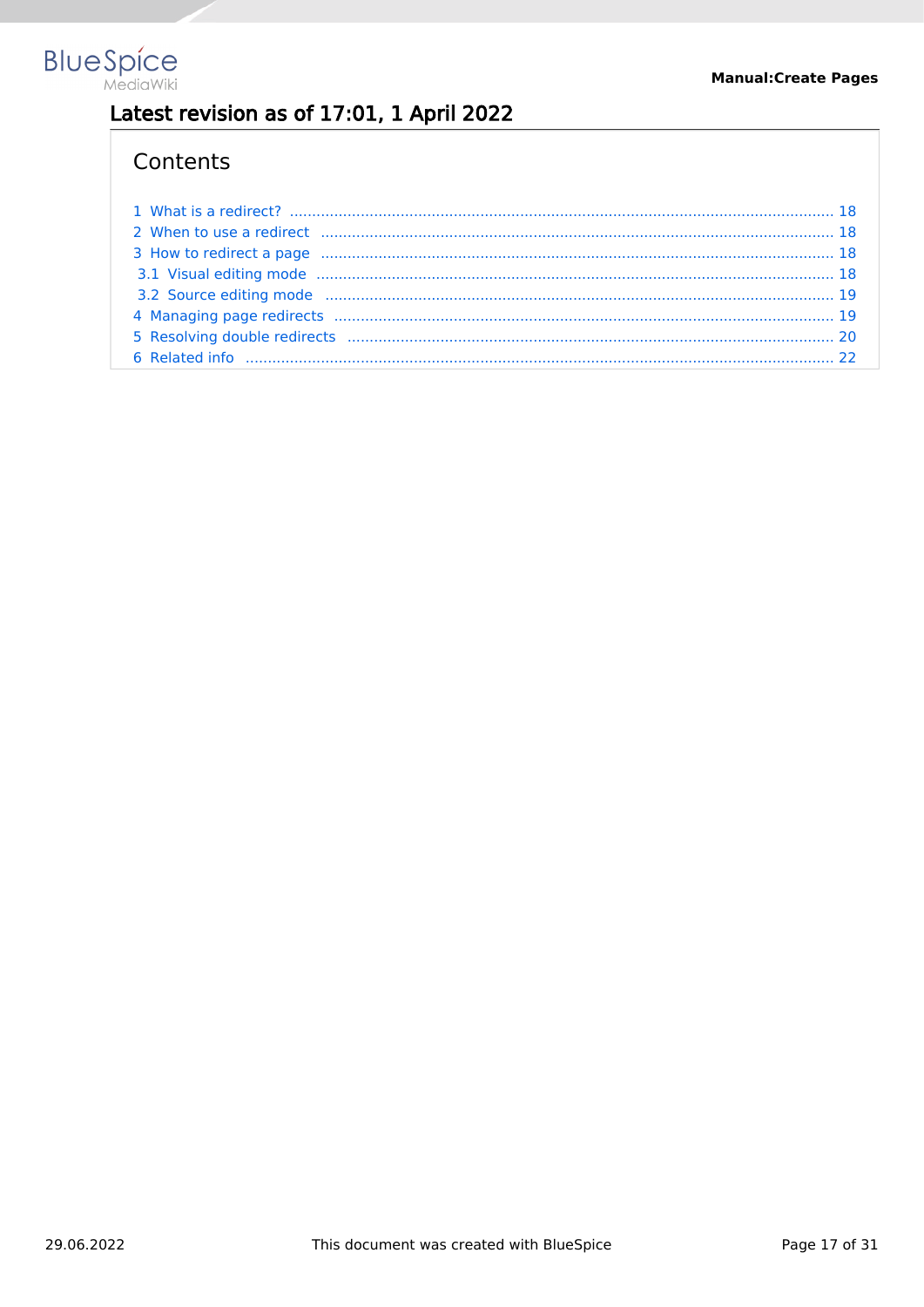

# Latest revision as of 17:01, 1 April 2022

# Contents

| 2 When to use a redirect manufactured and the control of the control of the control of the control of the control of the control of the control of the control of the control of the control of the control of the control of  |  |
|--------------------------------------------------------------------------------------------------------------------------------------------------------------------------------------------------------------------------------|--|
| 3 How to redirect a page minimum minimum minimum minimum minimum minimum 18                                                                                                                                                    |  |
|                                                                                                                                                                                                                                |  |
| 3.2 Source editing mode manufactured and contract the manufactured and the manufactured and the set of the set of the set of the set of the set of the set of the set of the set of the set of the set of the set of the set o |  |
|                                                                                                                                                                                                                                |  |
|                                                                                                                                                                                                                                |  |
|                                                                                                                                                                                                                                |  |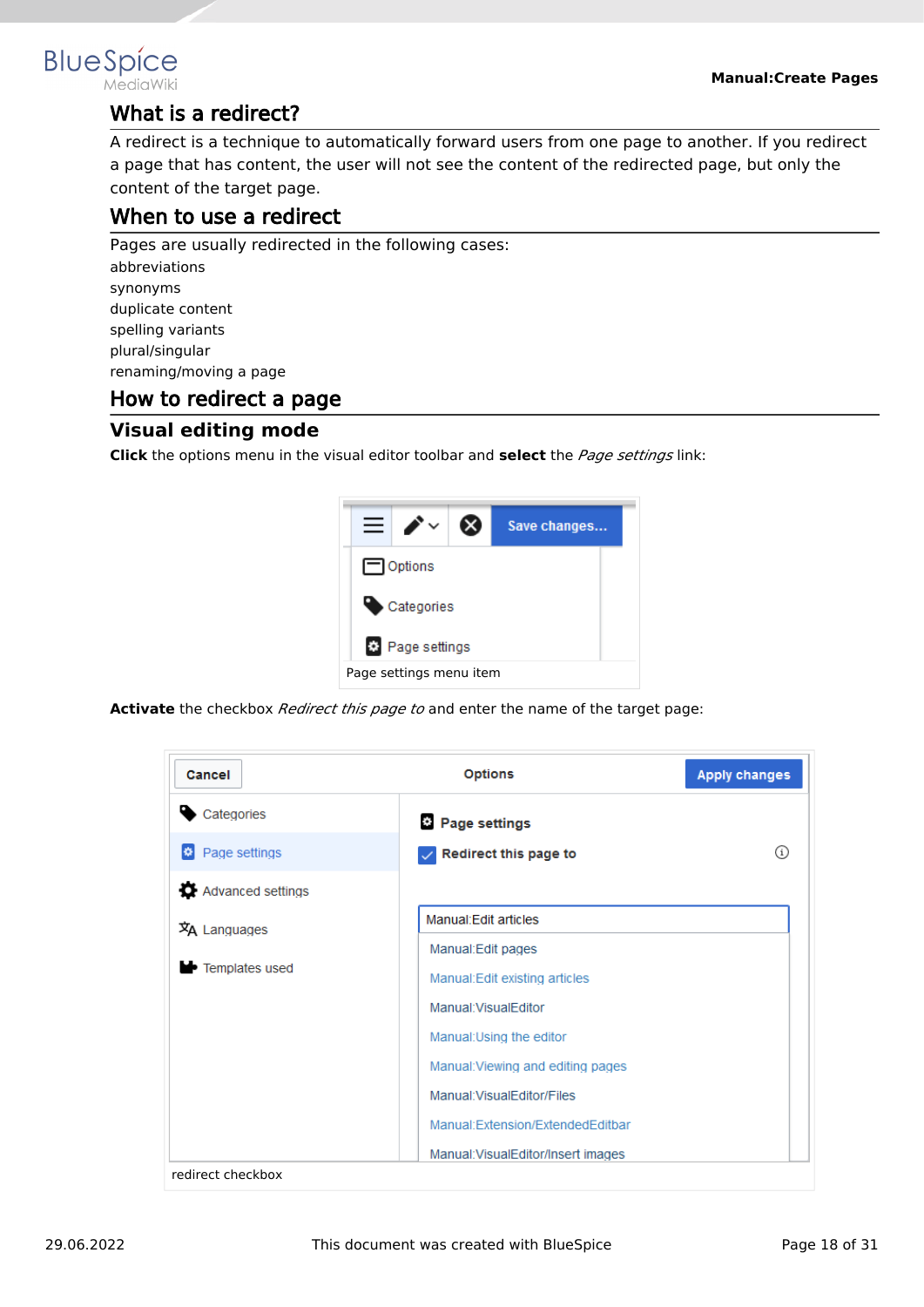

# <span id="page-17-0"></span>**BlueSpice**

# What is a redirect?

A redirect is a technique to automatically forward users from one page to another. If you redirect a page that has content, the user will not see the content of the redirected page, but only the content of the target page.

# <span id="page-17-1"></span>When to use a redirect

Pages are usually redirected in the following cases: abbreviations synonyms duplicate content spelling variants

plural/singular renaming/moving a page

# <span id="page-17-2"></span>How to redirect a page

# <span id="page-17-3"></span>**Visual editing mode**

**Click** the options menu in the visual editor toolbar and **select** the *Page settings* link:



**Activate** the checkbox *Redirect this page to* and enter the name of the target page:

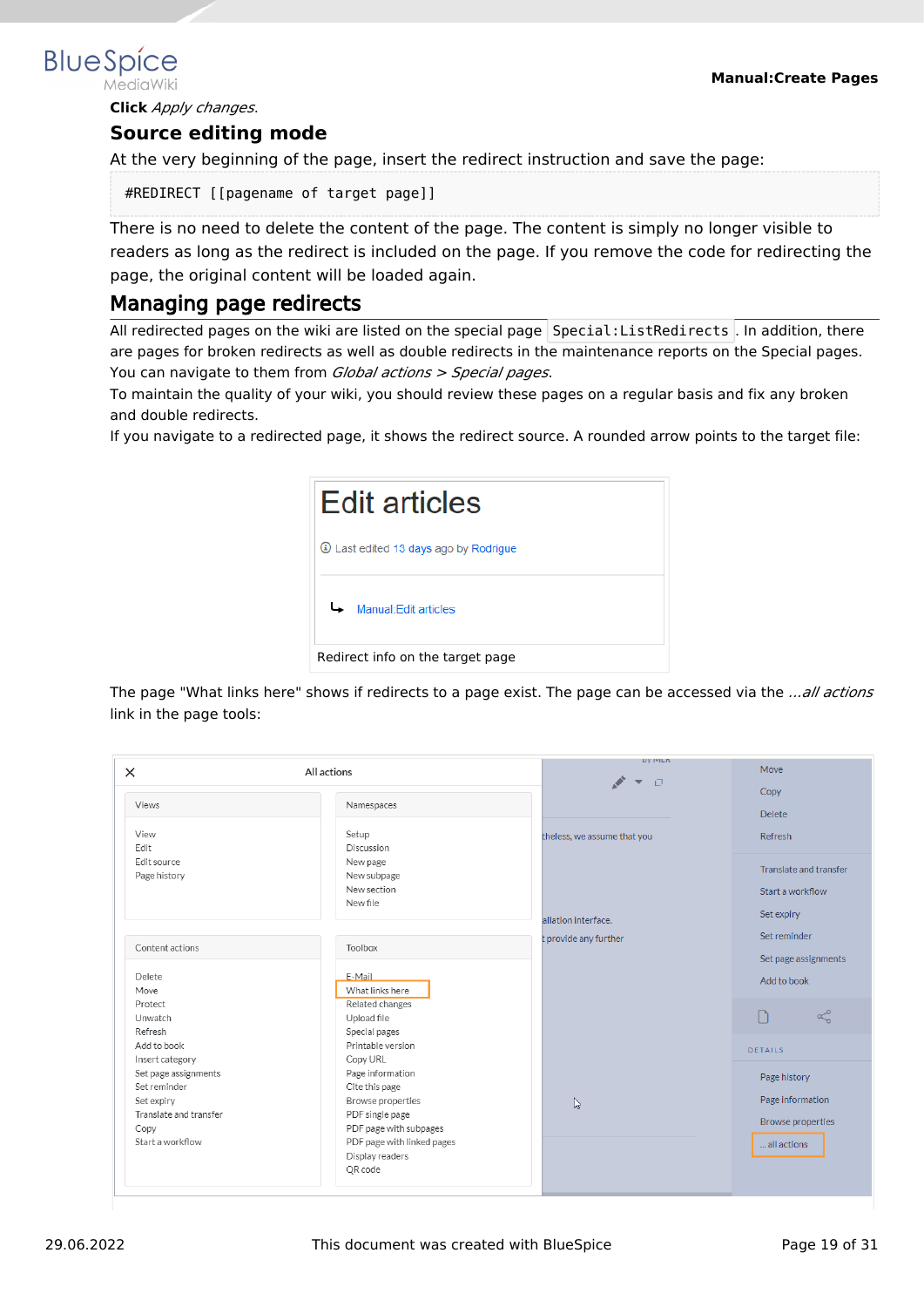<span id="page-18-0"></span>**BlueSpice** 

3. **Click** *Apply changes*.

#### **Source editing mode**

At the very beginning of the page, insert the redirect instruction and save the page:

#REDIRECT [[pagename of target page]]

There is no need to delete the content of the page. The content is simply no longer visible to readers as long as the redirect is included on the page. If you remove the code for redirecting the page, the original content will be loaded again.

#### <span id="page-18-1"></span>Managing page redirects

All redirected pages on the wiki are listed on the special page Special: ListRedirects . In addition, there are pages for broken redirects as well as double redirects in the maintenance reports on the Special pages. You can navigate to them from *Global actions > Special pages*.

To maintain the quality of your wiki, you should review these pages on a regular basis and fix any broken and double redirects.

If you navigate to a redirected page, it shows the redirect source. A rounded arrow points to the target file:



The page "What links here" shows if redirects to a page exist. The page can be accessed via the *...all actions* link in the page tools:

| $\times$               | All actions                | <b>DY IVILIT</b><br>$\Box$<br>$\overline{\mathbf{v}}$ | Move                     |
|------------------------|----------------------------|-------------------------------------------------------|--------------------------|
|                        |                            |                                                       | Copy                     |
| Views                  | Namespaces                 |                                                       | <b>Delete</b>            |
| View                   | Setup                      | theless, we assume that you                           | Refresh                  |
| Edit                   | Discussion                 |                                                       |                          |
| Edit source            | New page                   |                                                       | Translate and transfer   |
| Page history           | New subpage                |                                                       |                          |
|                        | New section                |                                                       | Start a workflow         |
|                        | New file                   |                                                       |                          |
|                        |                            | allation interface.                                   | Set expiry               |
|                        |                            | t provide any further                                 | Set reminder             |
| Content actions        | Toolbox                    |                                                       |                          |
|                        |                            |                                                       | Set page assignments     |
| Delete                 | E-Mail                     |                                                       | Add to book              |
| Move                   | What links here            |                                                       |                          |
| Protect                | Related changes            |                                                       |                          |
| Unwatch                | Upload file                |                                                       | $\propto$                |
| Refresh                | Special pages              |                                                       |                          |
| Add to book            | Printable version          |                                                       | DETAILS                  |
| Insert category        | Copy URL                   |                                                       |                          |
| Set page assignments   | Page information           |                                                       | Page history             |
| Set reminder           | Cite this page             |                                                       |                          |
| Set expiry             | Browse properties          | $\mathbb{Z}$                                          | Page information         |
| Translate and transfer | PDF single page            |                                                       | <b>Browse properties</b> |
| Copy                   | PDF page with subpages     |                                                       |                          |
| Start a workflow       | PDF page with linked pages |                                                       | all actions              |
|                        | Display readers            |                                                       |                          |
|                        | QR code                    |                                                       |                          |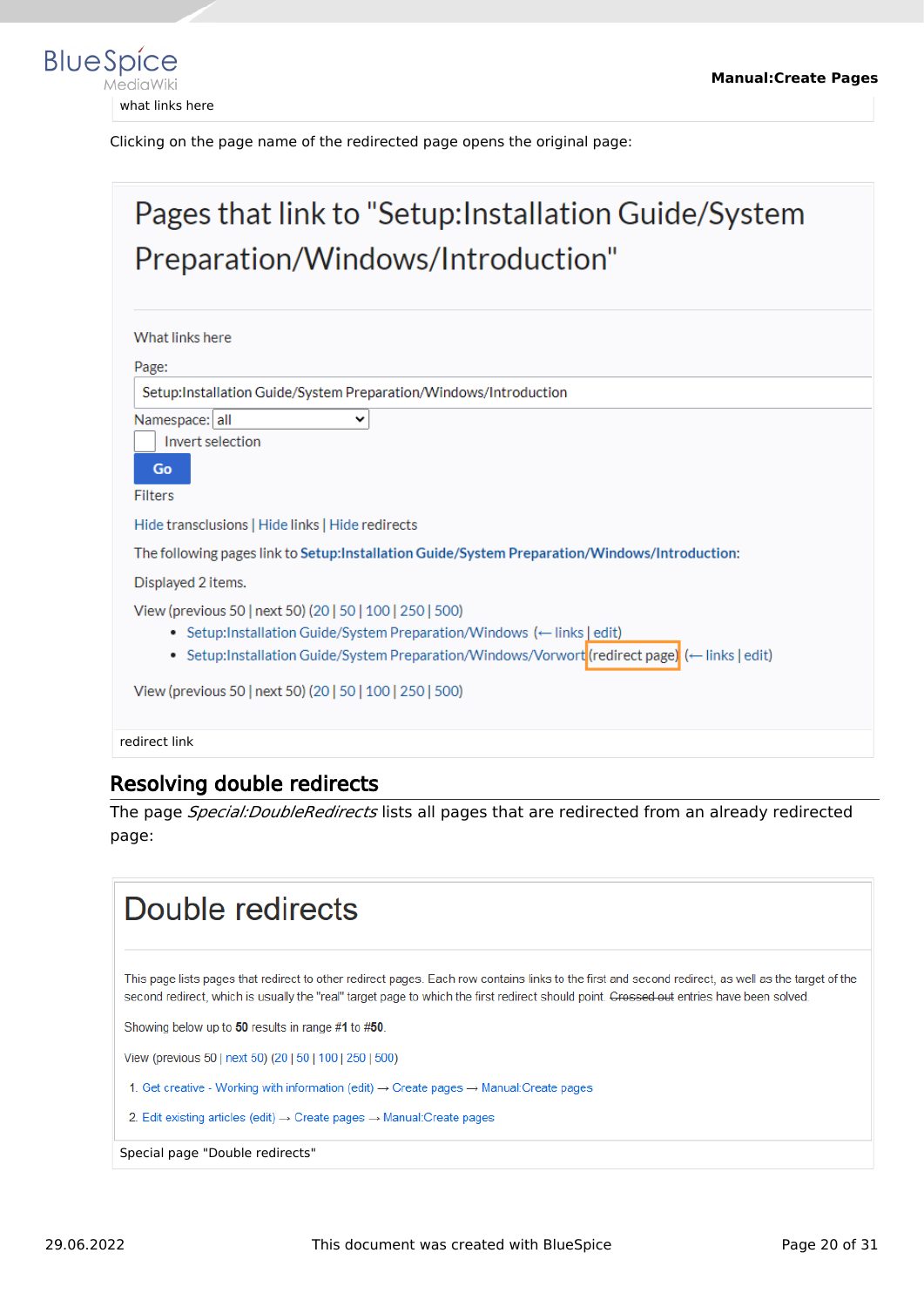

Clicking on the page name of the redirected page opens the original page:

# Pages that link to "Setup: Installation Guide/System Preparation/Windows/Introduction" What links here Page: Setup:Installation Guide/System Preparation/Windows/Introduction Namespace: all  $\checkmark$ Invert selection Go Filters Hide transclusions | Hide links | Hide redirects The following pages link to Setup:Installation Guide/System Preparation/Windows/Introduction: Displayed 2 items. View (previous 50 | next 50) (20 | 50 | 100 | 250 | 500) • Setup:Installation Guide/System Preparation/Windows (- links | edit) • Setup:Installation Guide/System Preparation/Windows/Vorwort(redirect page) (- links | edit) View (previous 50 | next 50) (20 | 50 | 100 | 250 | 500)

redirect link

# <span id="page-19-0"></span>Resolving double redirects

The page *Special:DoubleRedirects* lists all pages that are redirected from an already redirected page:

# Double redirects This page lists pages that redirect to other redirect pages. Each row contains links to the first and second redirect, as well as the target of the second redirect, which is usually the "real" target page to which the first redirect should point. Crossed out entries have been solved. Showing below up to 50 results in range #1 to #50. View (previous 50 | next 50) (20 | 50 | 100 | 250 | 500) 1. Get creative - Working with information (edit) → Create pages → Manual: Create pages 2. Edit existing articles (edit)  $\rightarrow$  Create pages  $\rightarrow$  Manual: Create pages Special page "Double redirects"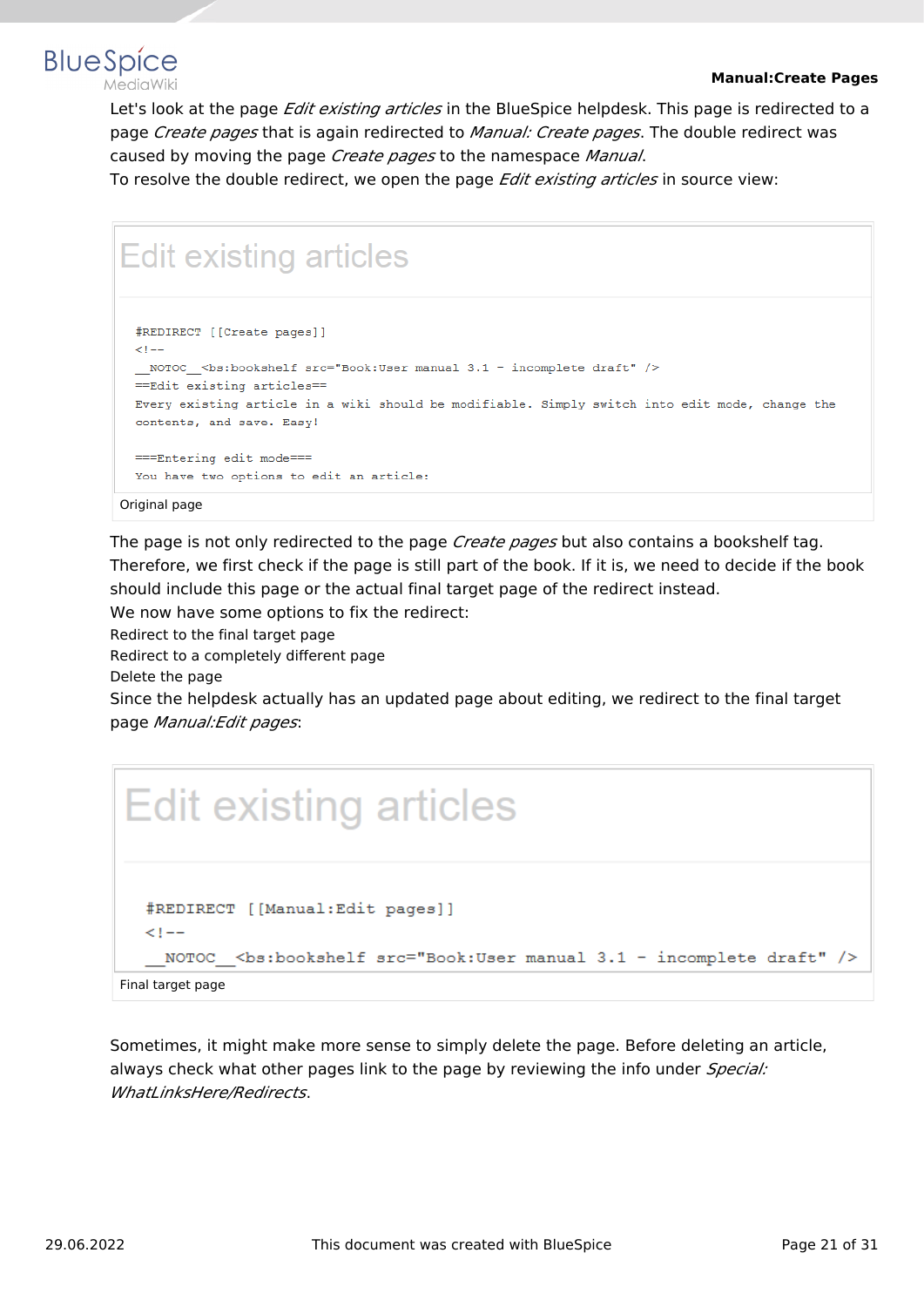

Let's look at the page *Edit existing articles* in the BlueSpice helpdesk. This page is redirected to a page *Create pages* that is again redirected to *Manual: Create pages*. The double redirect was caused by moving the page *Create pages* to the namespace *Manual*.

To resolve the double redirect, we open the page *Edit existing articles* in source view:

# **Edit existing articles**

```
#REDIRECT [[Create pages]]
\leq 1 - 1_NOTOC_<bs:bookshelf src="Book:User manual 3.1 - incomplete draft" />
== Edit existing articles==
Every existing article in a wiki should be modifiable. Simply switch into edit mode, change the
contents, and save. Easy!
===Entering edit mode===
You have two options to edit an article:
```
#### Original page

**BlueSpice** 

The page is not only redirected to the page *Create pages* but also contains a bookshelf tag. Therefore, we first check if the page is still part of the book. If it is, we need to decide if the book should include this page or the actual final target page of the redirect instead.

We now have some options to fix the redirect:

Redirect to the final target page

Redirect to a completely different page

Delete the page

Since the helpdesk actually has an updated page about editing, we redirect to the final target page *Manual:Edit pages*:



Sometimes, it might make more sense to simply delete the page. Before deleting an article, always check what other pages link to the page by reviewing the info under *Special: WhatLinksHere/Redirects*.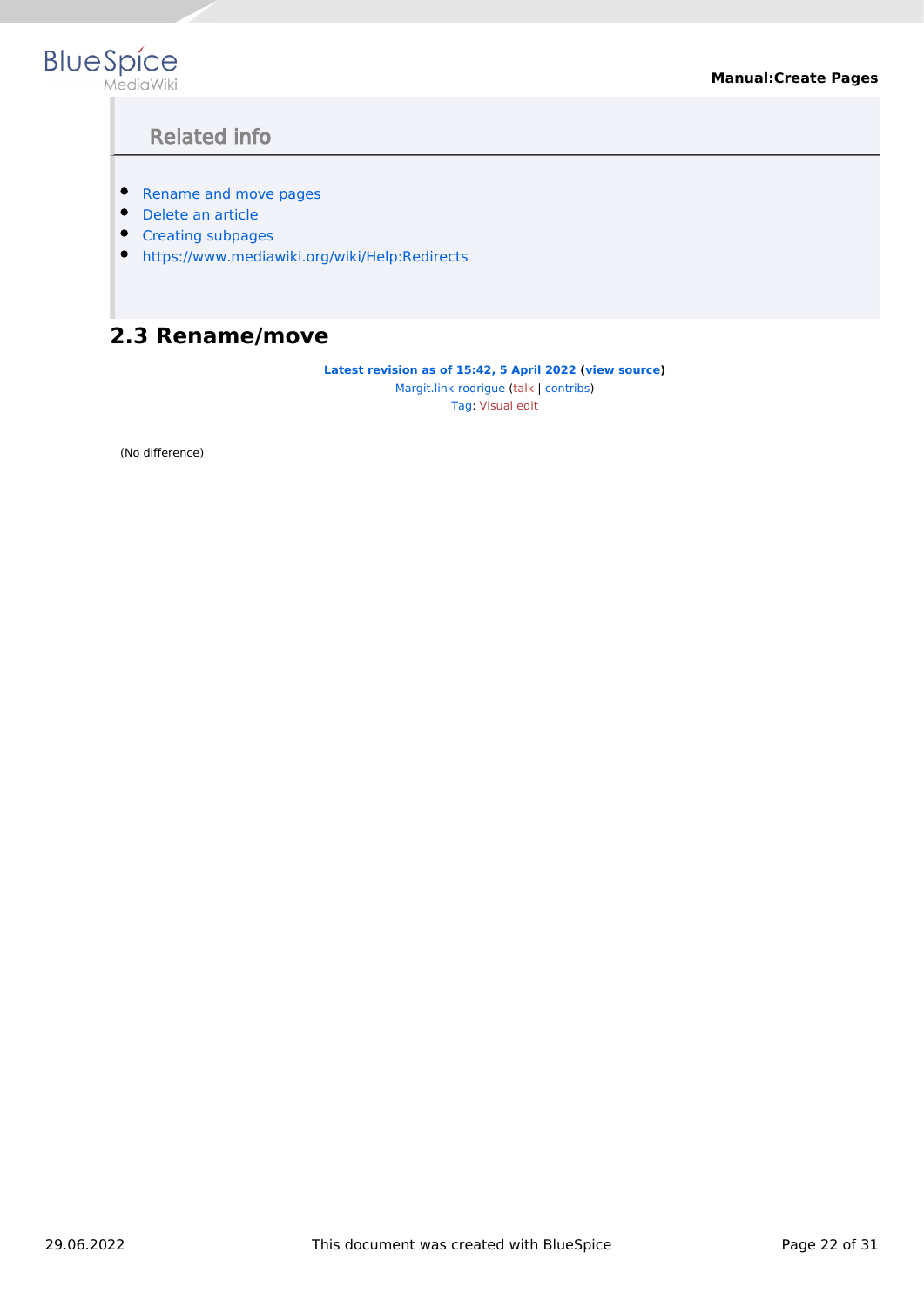<span id="page-21-1"></span>

# Related info

- **•** [Rename and move pages](#page-21-0)
- [Delete an article](https://en.wiki.bluespice.com/wiki/Manual:Delete_article)
- [Creating subpages](https://en.wiki.bluespice.com/wiki/Manual:Subpage)
- <https://www.mediawiki.org/wiki/Help:Redirects>

# <span id="page-21-0"></span>**2.3 Rename/move**

**[Latest revision as of 15:42, 5 April 2022](#page-21-0) [\(view source\)](#page-21-0)**

[Margit.link-rodrigue](#page-30-0) ([talk](https://en.wiki.bluespice.com/w/index.php?title=User_talk:Margit.link-rodrigue&action=view) | [contribs](https://en.wiki.bluespice.com/wiki/Special:Contributions/Margit.link-rodrigue)) [Tag](https://en.wiki.bluespice.com/wiki/Special:Tags): [Visual edit](https://en.wiki.bluespice.com/w/index.php?title=Site:VisualEditor&action=view)

(No difference)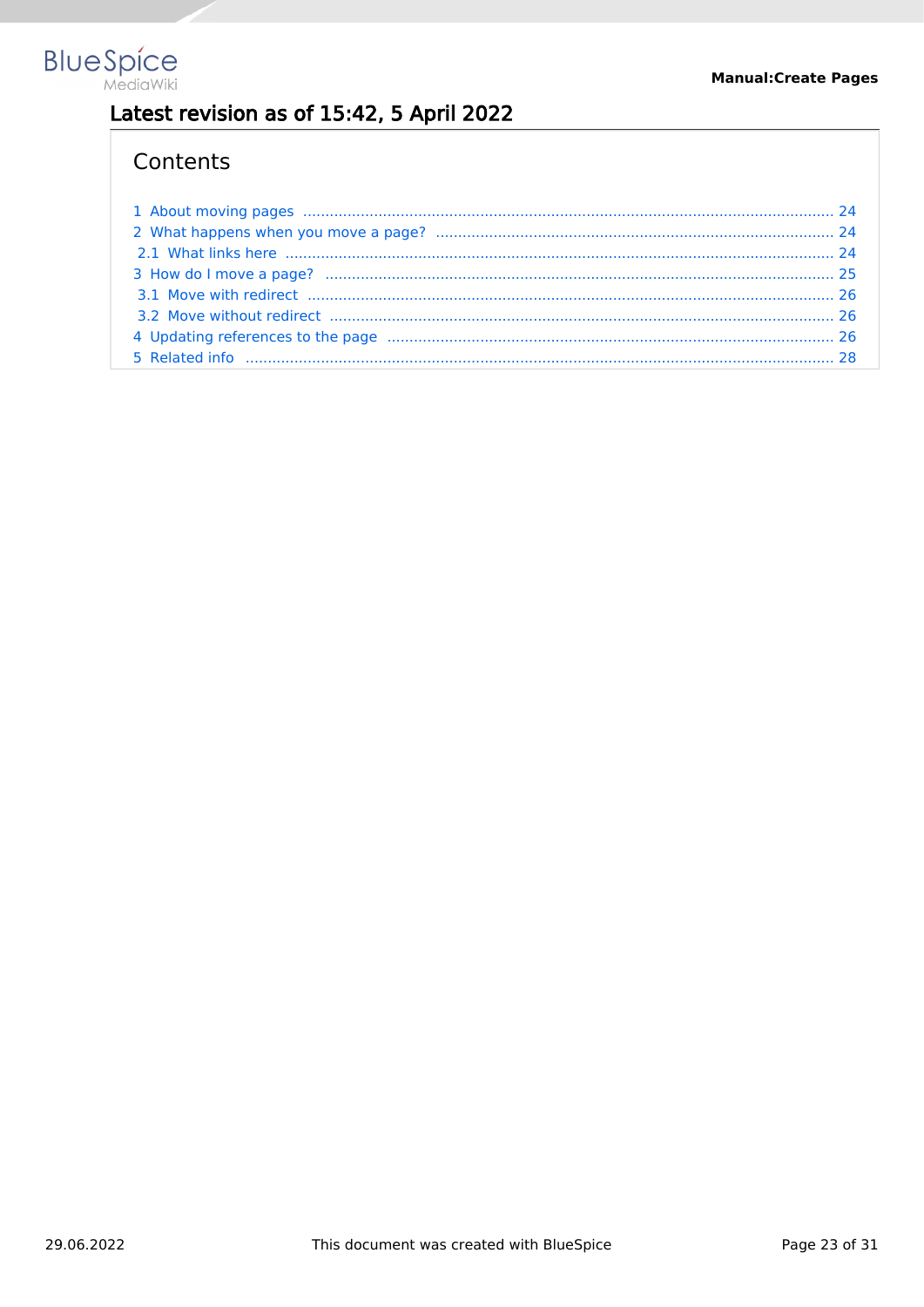

# Latest revision as of 15:42, 5 April 2022

# Contents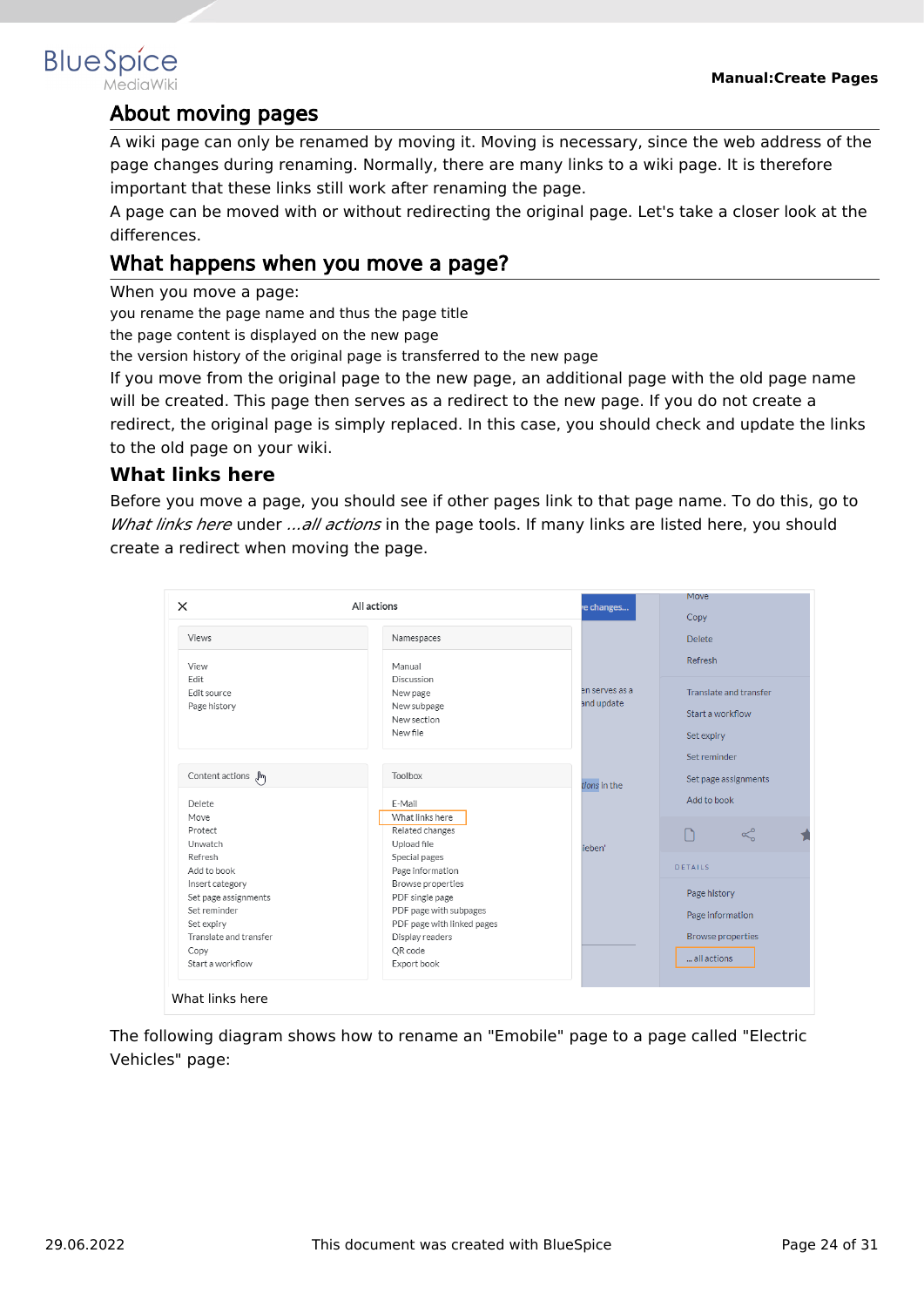# <span id="page-23-0"></span>**BlueSpice**

# About moving pages

A wiki page can only be renamed by moving it. Moving is necessary, since the web address of the page changes during renaming. Normally, there are many links to a wiki page. It is therefore important that these links still work after renaming the page.

A page can be moved with or without redirecting the original page. Let's take a closer look at the differences.

# <span id="page-23-1"></span>What happens when you move a page?

When you move a page:

you rename the page name and thus the page title

the page content is displayed on the new page

the version history of the original page is transferred to the new page

If you move from the original page to the new page, an additional page with the old page name will be created. This page then serves as a redirect to the new page. If you do not create a redirect, the original page is simply replaced. In this case, you should check and update the links to the old page on your wiki.

#### <span id="page-23-2"></span>**What links here**

Before you move a page, you should see if other pages link to that page name. To do this, go to *What links here* under *...all actions* in the page tools. If many links are listed here, you should create a redirect when moving the page.

| $\times$                                                | All actions                                                             | e changes                    | Move                                                     |
|---------------------------------------------------------|-------------------------------------------------------------------------|------------------------------|----------------------------------------------------------|
| Views                                                   | Namespaces                                                              |                              | Copy<br><b>Delete</b>                                    |
| View<br>Edit                                            | Manual<br>Discussion                                                    |                              | Refresh                                                  |
| Edit source<br>Page history                             | New page<br>New subpage<br>New section<br>New file                      | en serves as a<br>and update | Translate and transfer<br>Start a workflow<br>Set expiry |
| Content actions $\sqrt{m}$                              | Toolbox                                                                 | tions in the                 | Set reminder<br>Set page assignments                     |
| <b>Delete</b>                                           | E-Mail                                                                  |                              | Add to book                                              |
| Move<br>Protect<br>Unwatch                              | What links here<br>Related changes<br>Upload file                       | ieben'                       | $\propto$<br>n                                           |
| Refresh<br>Add to book                                  | Special pages<br>Page information                                       |                              | <b>DETAILS</b>                                           |
| Insert category<br>Set page assignments<br>Set reminder | Browse properties<br>PDF single page                                    |                              | Page history                                             |
| Set expiry<br>Translate and transfer                    | PDF page with subpages<br>PDF page with linked pages<br>Display readers |                              | Page information<br><b>Browse properties</b>             |
| Copy<br>Start a workflow                                | QR code<br>Export book                                                  |                              | all actions                                              |

The following diagram shows how to rename an "Emobile" page to a page called "Electric Vehicles" page: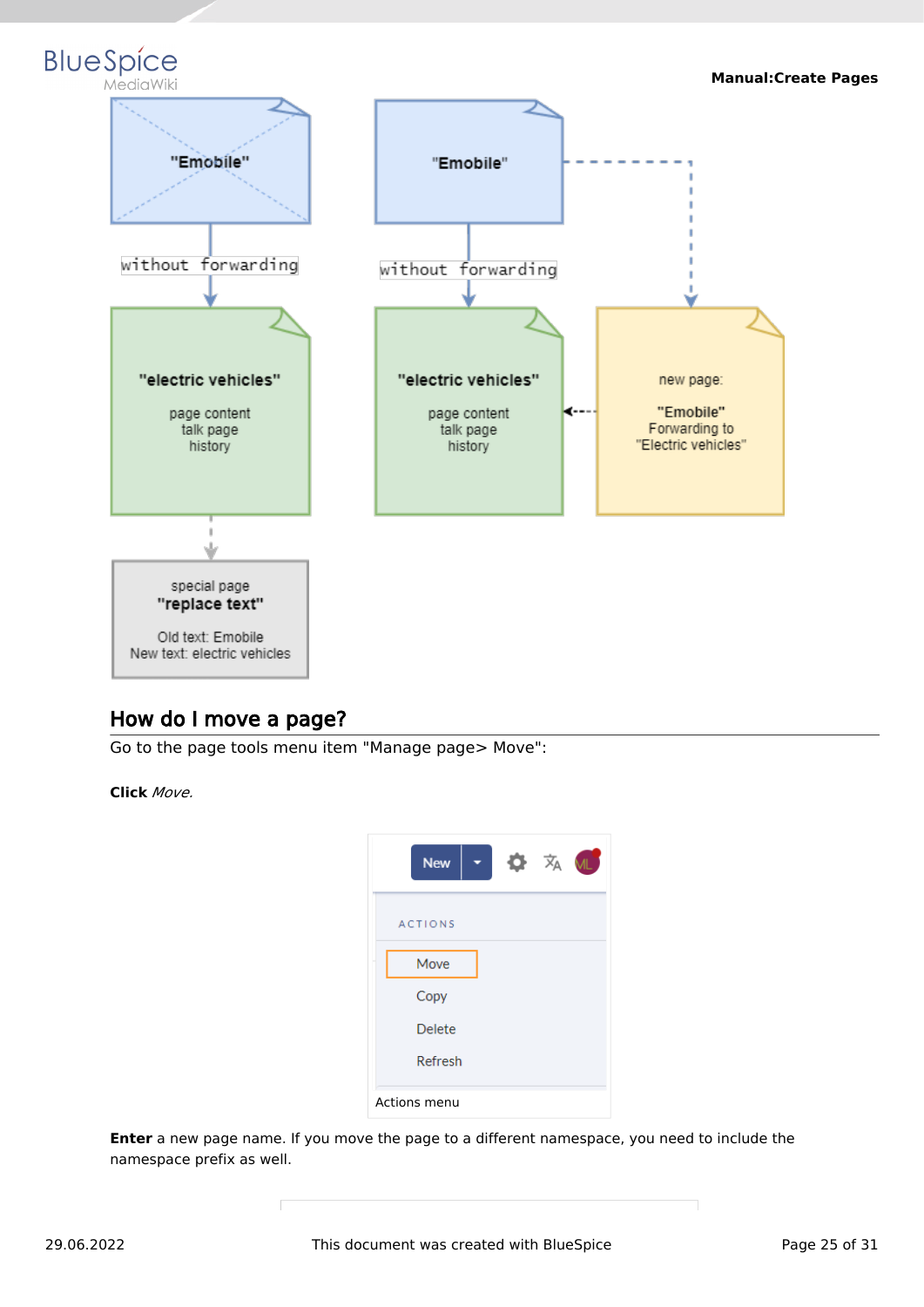

# <span id="page-24-0"></span>How do I move a page?

Go to the page tools menu item "Manage page> Move":

**Click** *Move.*



**Enter** a new page name. If you move the page to a different namespace, you need to include the namespace prefix as well.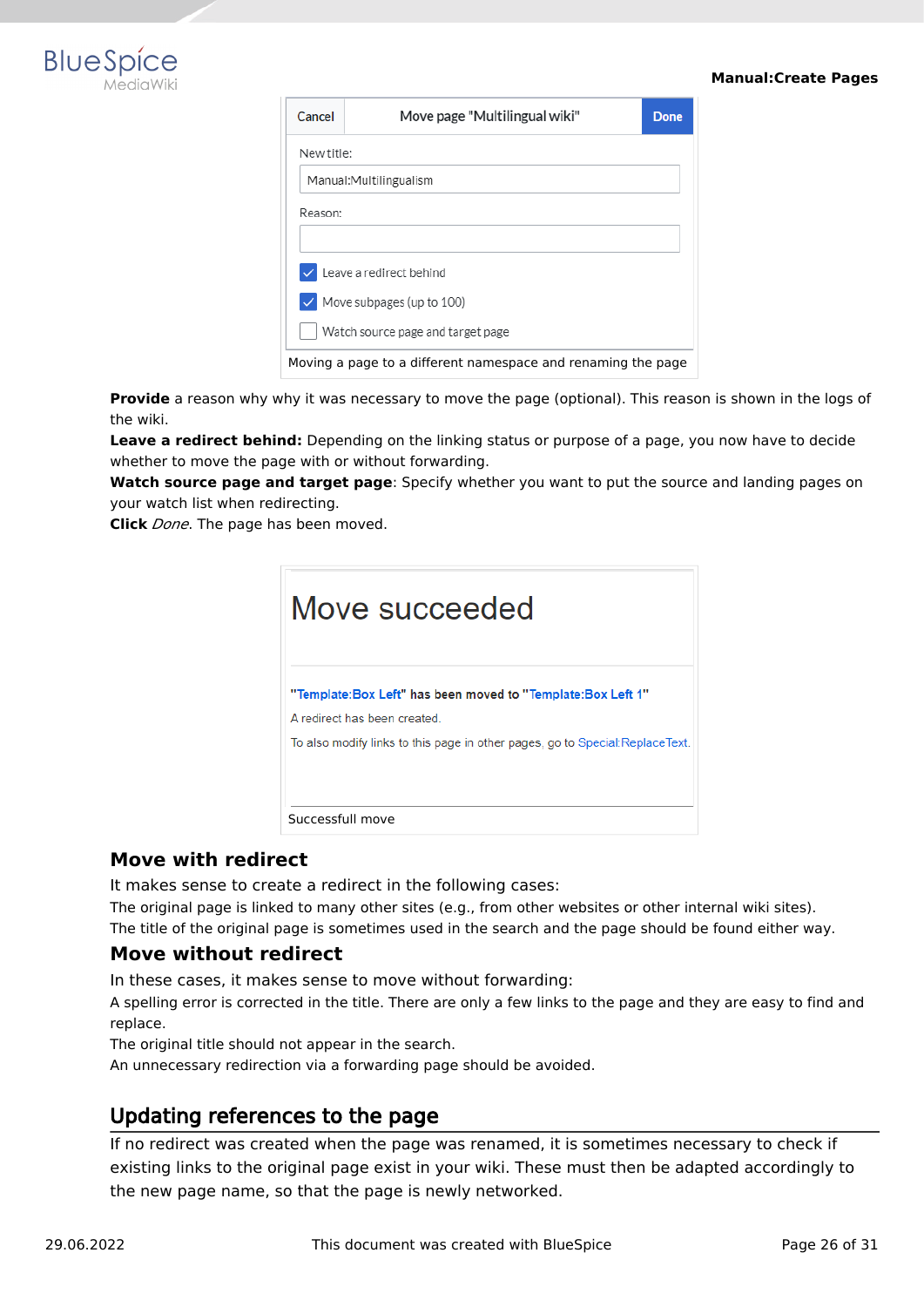

2.

#### **Manual:Create Pages**

| Cancel                                                       | Move page "Multilingual wiki" | <b>Done</b> |  |  |
|--------------------------------------------------------------|-------------------------------|-------------|--|--|
| New title:                                                   |                               |             |  |  |
| Manual: Multilingualism                                      |                               |             |  |  |
| Reason:                                                      |                               |             |  |  |
|                                                              |                               |             |  |  |
| $\vee$ Leave a redirect behind                               |                               |             |  |  |
| $\vee$ Move subpages (up to 100)                             |                               |             |  |  |
| Watch source page and target page                            |                               |             |  |  |
| Moving a page to a different namespace and renaming the page |                               |             |  |  |

Provide a reason why why it was necessary to move the page (optional). This reason is shown in the logs of the wiki.

**Leave a redirect behind:** Depending on the linking status or purpose of a page, you now have to decide whether to move the page with or without forwarding.

**Watch source page and target page**: Specify whether you want to put the source and landing pages on your watch list when redirecting.

**Click** *Done*. The page has been moved.

| Move succeeded                                                                                                                                                              |
|-----------------------------------------------------------------------------------------------------------------------------------------------------------------------------|
| "Template:Box Left" has been moved to "Template:Box Left 1"<br>A redirect has been created<br>To also modify links to this page in other pages, go to Special: ReplaceText. |
| Successfull move                                                                                                                                                            |

#### <span id="page-25-0"></span>**Move with redirect**

It makes sense to create a redirect in the following cases:

The original page is linked to many other sites (e.g., from other websites or other internal wiki sites). The title of the original page is sometimes used in the search and the page should be found either way.

#### <span id="page-25-1"></span>**Move without redirect**

In these cases, it makes sense to move without forwarding:

A spelling error is corrected in the title. There are only a few links to the page and they are easy to find and replace.

The original title should not appear in the search.

An unnecessary redirection via a forwarding page should be avoided.

# <span id="page-25-2"></span>Updating references to the page

If no redirect was created when the page was renamed, it is sometimes necessary to check if existing links to the original page exist in your wiki. These must then be adapted accordingly to the new page name, so that the page is newly networked.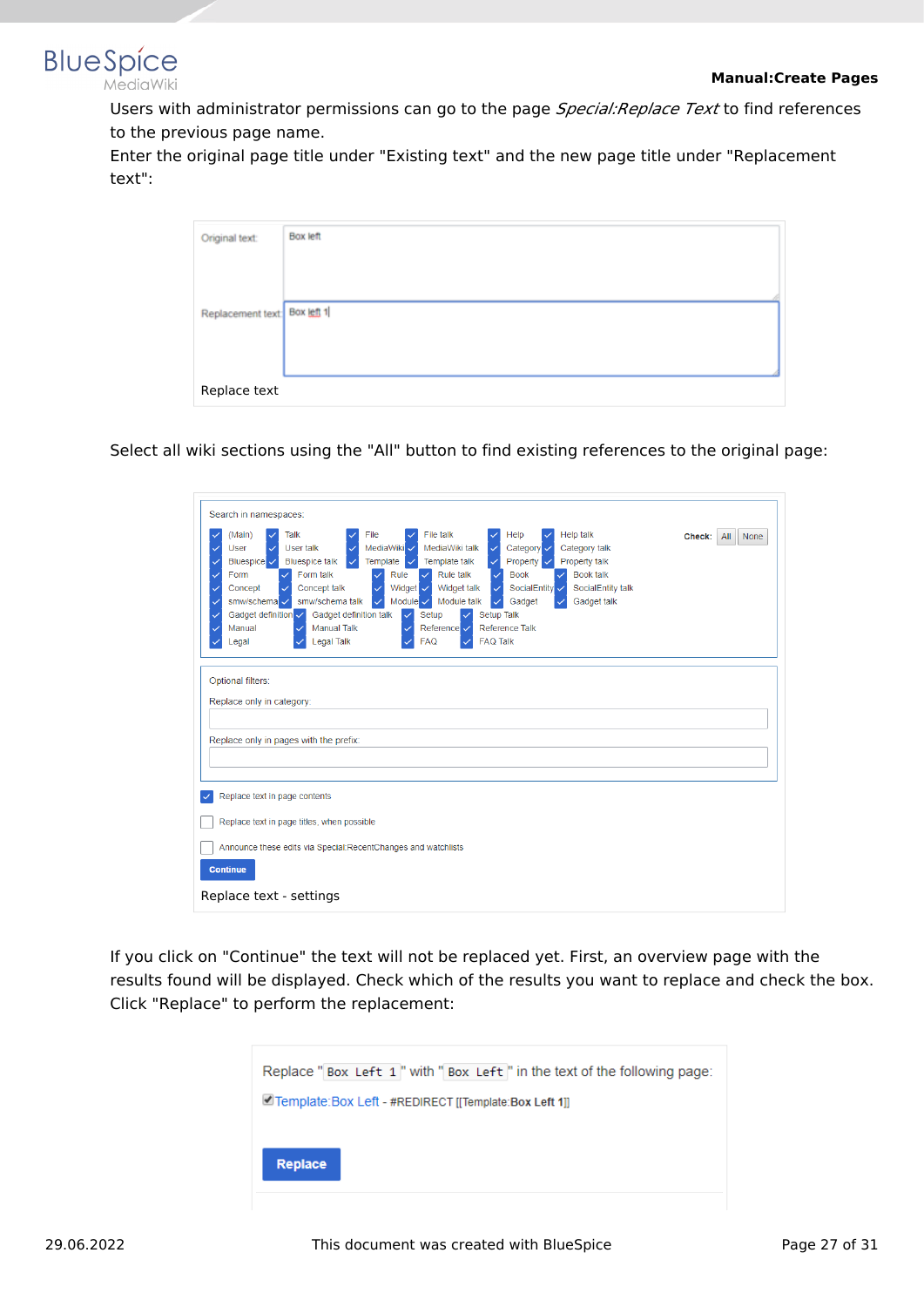

Users with administrator permissions can go to the page *Special:Replace Text* to find references to the previous page name.

Enter the original page title under "Existing text" and the new page title under "Replacement text":

| Original text:               | Box left |  |
|------------------------------|----------|--|
|                              |          |  |
| Replacement text: Box left 1 |          |  |
|                              |          |  |
|                              |          |  |
| Replace text                 |          |  |

Select all wiki sections using the "All" button to find existing references to the original page:

| Search in namespaces:                                                                                                                                                                                                                                                                                                                                                                                                                                                                                                                                                                                                                                                                                                                                                                                                                                     |  |  |  |  |
|-----------------------------------------------------------------------------------------------------------------------------------------------------------------------------------------------------------------------------------------------------------------------------------------------------------------------------------------------------------------------------------------------------------------------------------------------------------------------------------------------------------------------------------------------------------------------------------------------------------------------------------------------------------------------------------------------------------------------------------------------------------------------------------------------------------------------------------------------------------|--|--|--|--|
| File<br>File talk<br><b>Help talk</b><br>(Main)<br>Talk<br>Help<br>Check:<br>$A$ ll<br><b>None</b><br>MediaWiki V<br>MediaWiki talk<br>Category v<br>Category talk<br>User<br>User talk<br>Property<br>Property talk<br><b>Bluespice talk</b><br>Template<br>Template talk<br>Bluespice V<br><b>Book talk</b><br>Form talk<br>Rule talk<br><b>Book</b><br>Form<br>Rule<br>Concept talk<br>Widget $\overline{\smile}$<br>Widget talk<br>SocialEntity V<br>SocialEntity talk<br>Concept<br>smw/schema talk<br>Module $\checkmark$<br>Module talk<br>smw/schema v<br>Gadget talk<br>Gadget<br>$\checkmark$<br>Gadget definition v<br>Gadget definition talk<br>Setup Talk<br>Setup<br>$\checkmark$<br>$\checkmark$<br><b>Manual Talk</b><br>Reference Talk<br>Manual<br>Reference V<br>✓<br>✓<br><b>Legal Talk</b><br><b>FAQ Talk</b><br><b>FAQ</b><br>Legal |  |  |  |  |
| Optional filters:<br>Replace only in category:<br>Replace only in pages with the prefix:                                                                                                                                                                                                                                                                                                                                                                                                                                                                                                                                                                                                                                                                                                                                                                  |  |  |  |  |
| Replace text in page contents                                                                                                                                                                                                                                                                                                                                                                                                                                                                                                                                                                                                                                                                                                                                                                                                                             |  |  |  |  |
| Replace text in page titles, when possible                                                                                                                                                                                                                                                                                                                                                                                                                                                                                                                                                                                                                                                                                                                                                                                                                |  |  |  |  |
| Announce these edits via Special: RecentChanges and watchlists                                                                                                                                                                                                                                                                                                                                                                                                                                                                                                                                                                                                                                                                                                                                                                                            |  |  |  |  |
| <b>Continue</b>                                                                                                                                                                                                                                                                                                                                                                                                                                                                                                                                                                                                                                                                                                                                                                                                                                           |  |  |  |  |
| Replace text - settings                                                                                                                                                                                                                                                                                                                                                                                                                                                                                                                                                                                                                                                                                                                                                                                                                                   |  |  |  |  |

If you click on "Continue" the text will not be replaced yet. First, an overview page with the results found will be displayed. Check which of the results you want to replace and check the box. Click "Replace" to perform the replacement:

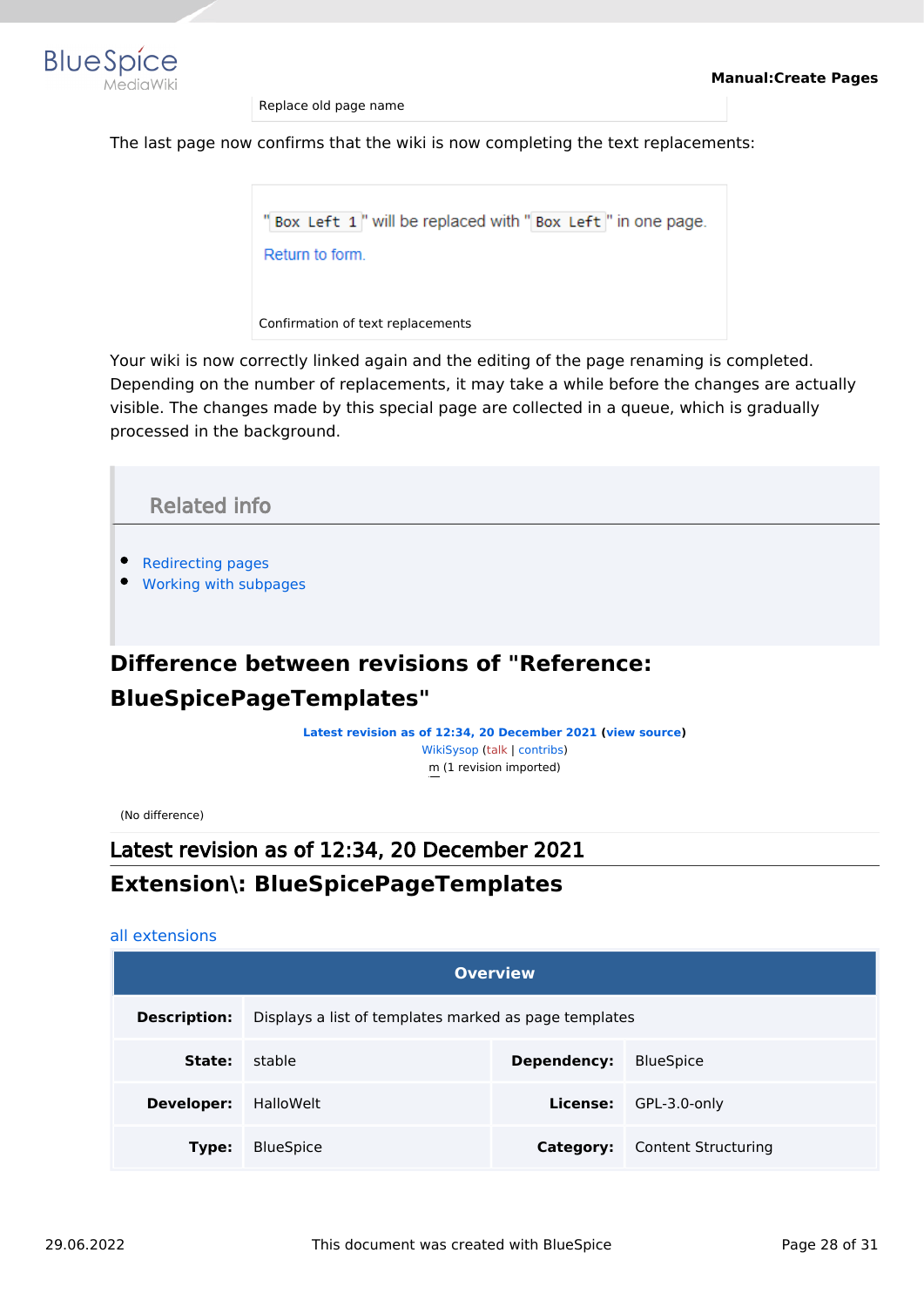

Replace old page name

The last page now confirms that the wiki is now completing the text replacements:

"Box Left 1" will be replaced with "Box Left" in one page. Return to form. Confirmation of text replacements

Your wiki is now correctly linked again and the editing of the page renaming is completed. Depending on the number of replacements, it may take a while before the changes are actually visible. The changes made by this special page are collected in a queue, which is gradually processed in the background.

<span id="page-27-1"></span>

# <span id="page-27-0"></span>**BlueSpicePageTemplates"**

**[Latest revision as of 12:34, 20 December 2021](#page-27-0) ([view source](#page-27-0))** [WikiSysop](https://en.wiki.bluespice.com/wiki/User:WikiSysop) ([talk](https://en.wiki.bluespice.com/w/index.php?title=User_talk:WikiSysop&action=view) | [contribs](https://en.wiki.bluespice.com/wiki/Special:Contributions/WikiSysop)) m (1 revision imported)

(No difference)

Latest revision as of 12:34, 20 December 2021

# **Extension\: BlueSpicePageTemplates**

#### [all extensions](https://en.wiki.bluespice.com/wiki/Category:Extension)

| <b>Overview</b>     |                                                       |           |                            |  |  |
|---------------------|-------------------------------------------------------|-----------|----------------------------|--|--|
| <b>Description:</b> | Displays a list of templates marked as page templates |           |                            |  |  |
| State:              | stable<br>Dependency:                                 |           | <b>BlueSpice</b>           |  |  |
| <b>Developer:</b>   | HalloWelt                                             | License:  | GPL-3.0-only               |  |  |
| Type:               | <b>BlueSpice</b>                                      | Category: | <b>Content Structuring</b> |  |  |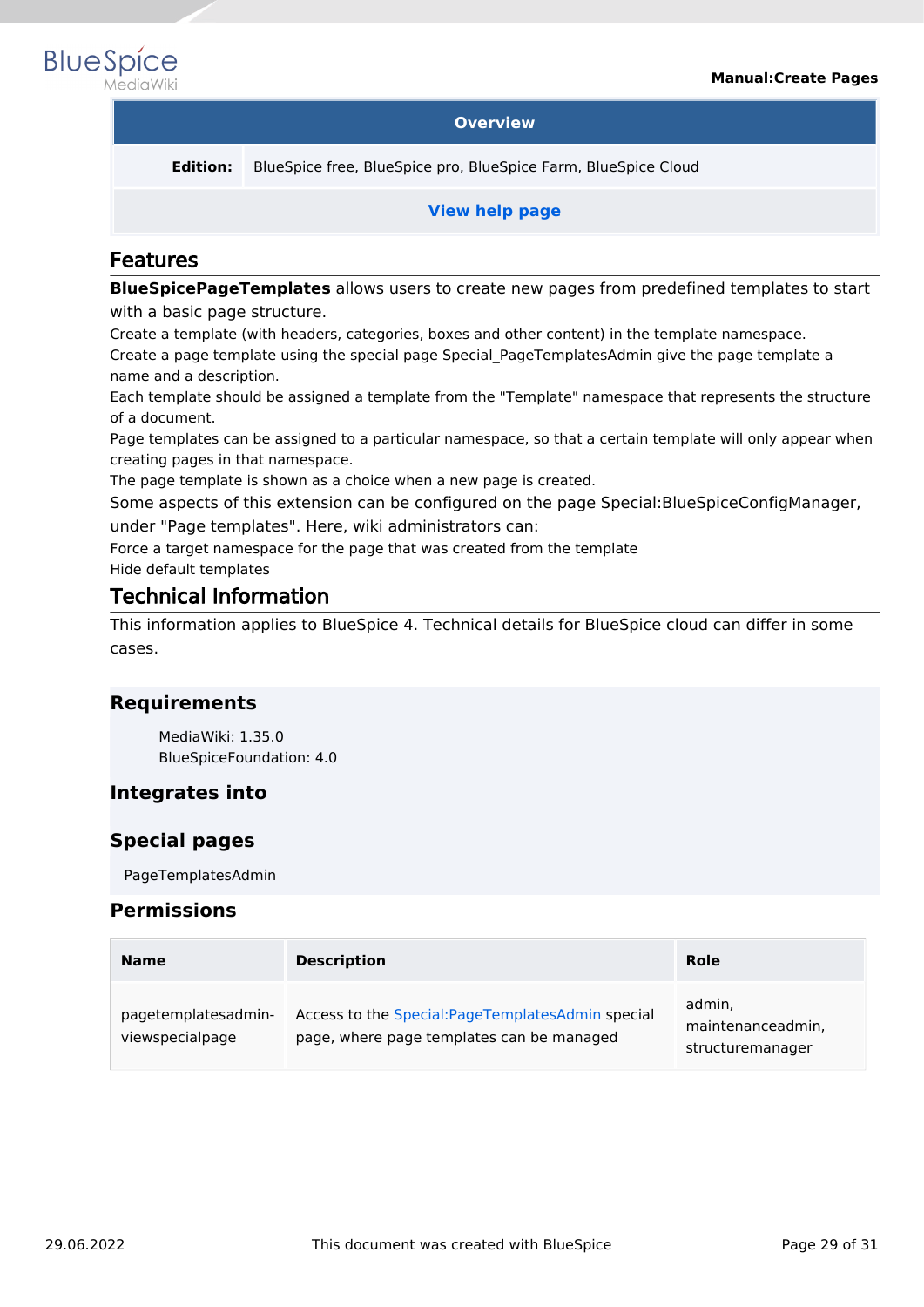

#### **Overview**

**Edition:** BlueSpice free, BlueSpice pro, BlueSpice Farm, BlueSpice Cloud

#### **[View help page](https://en.wiki.bluespice.com/wiki/Manual:Extension/BlueSpicePageTemplates)**

### Features

**BlueSpicePageTemplates** allows users to create new pages from predefined templates to start with a basic page structure.

Create a template (with headers, categories, boxes and other content) in the template namespace. Create a page template using the special page Special\_PageTemplatesAdmin give the page template a name and a description.

Each template should be assigned a template from the "Template" namespace that represents the structure of a document.

Page templates can be assigned to a particular namespace, so that a certain template will only appear when creating pages in that namespace.

The page template is shown as a choice when a new page is created.

Some aspects of this extension can be configured on the page Special:BlueSpiceConfigManager, under "Page templates". Here, wiki administrators can:

Force a target namespace for the page that was created from the template

Hide default templates

### Technical Information

This information applies to BlueSpice 4. Technical details for BlueSpice cloud can differ in some cases.

#### **Requirements**

MediaWiki: 1.35.0 BlueSpiceFoundation: 4.0

#### **Integrates into**

#### **Special pages**

PageTemplatesAdmin

#### **Permissions**

| <b>Name</b>                            | <b>Description</b>                                                                             | <b>Role</b>                                     |
|----------------------------------------|------------------------------------------------------------------------------------------------|-------------------------------------------------|
| pagetemplatesadmin-<br>viewspecialpage | Access to the Special: PageTemplatesAdmin special<br>page, where page templates can be managed | admin,<br>maintenanceadmin,<br>structuremanager |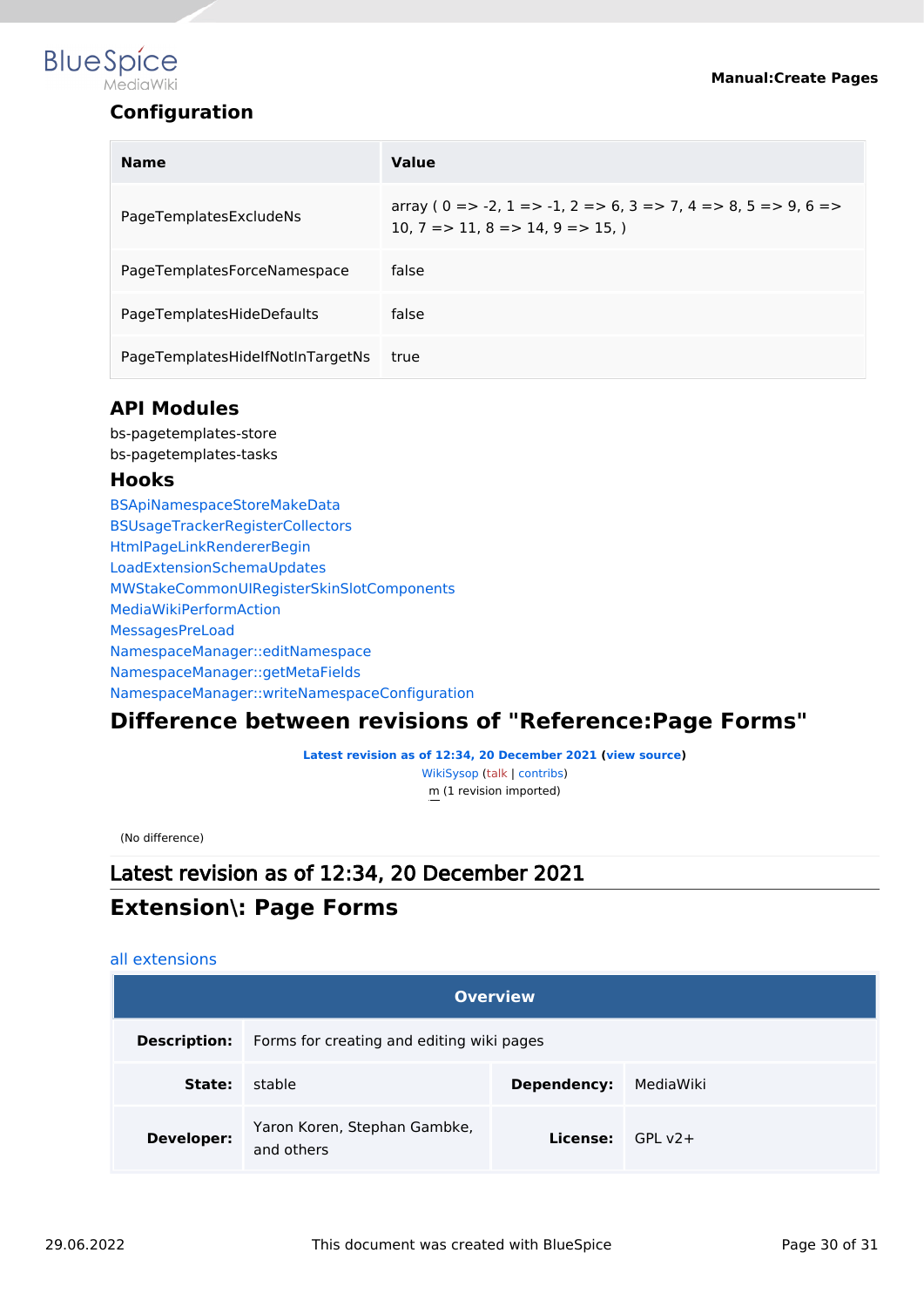# **BlueSpice** MediaWiki

#### **Manual:Create Pages**

# **Configuration**

| <b>Name</b>                      | Value                                                                                                                         |
|----------------------------------|-------------------------------------------------------------------------------------------------------------------------------|
| PageTemplatesExcludeNs           | array ( $0 = > -2$ , $1 = > -1$ , $2 = > 6$ , $3 = > 7$ , $4 = > 8$ , $5 = > 9$ , $6 = >$<br>$10.7 = > 11.8 = > 14.9 = > 15.$ |
| PageTemplatesForceNamespace      | false                                                                                                                         |
| PageTemplatesHideDefaults        | false                                                                                                                         |
| PageTemplatesHidelfNotInTargetNs | true                                                                                                                          |

#### **API Modules**

bs-pagetemplates-store bs-pagetemplates-tasks

#### **Hooks**

[BSApiNamespaceStoreMakeData](https://www.mediawiki.org/wiki/Manual:Hooks/BSApiNamespaceStoreMakeData) [BSUsageTrackerRegisterCollectors](https://www.mediawiki.org/wiki/Manual:Hooks/BSUsageTrackerRegisterCollectors) [HtmlPageLinkRendererBegin](https://www.mediawiki.org/wiki/Manual:Hooks/HtmlPageLinkRendererBegin) [LoadExtensionSchemaUpdates](https://www.mediawiki.org/wiki/Manual:Hooks/LoadExtensionSchemaUpdates) [MWStakeCommonUIRegisterSkinSlotComponents](https://www.mediawiki.org/wiki/Manual:Hooks/MWStakeCommonUIRegisterSkinSlotComponents) [MediaWikiPerformAction](https://www.mediawiki.org/wiki/Manual:Hooks/MediaWikiPerformAction) [MessagesPreLoad](https://www.mediawiki.org/wiki/Manual:Hooks/MessagesPreLoad) [NamespaceManager::editNamespace](https://www.mediawiki.org/wiki/Manual:Hooks/NamespaceManager::editNamespace) [NamespaceManager::getMetaFields](https://www.mediawiki.org/wiki/Manual:Hooks/NamespaceManager::getMetaFields) [NamespaceManager::writeNamespaceConfiguration](https://www.mediawiki.org/wiki/Manual:Hooks/NamespaceManager::writeNamespaceConfiguration)

# <span id="page-29-0"></span>**Difference between revisions of "Reference:Page Forms"**

**[Latest revision as of 12:34, 20 December 2021](#page-29-0) ([view source](#page-29-0))** [WikiSysop](https://en.wiki.bluespice.com/wiki/User:WikiSysop) ([talk](https://en.wiki.bluespice.com/w/index.php?title=User_talk:WikiSysop&action=view) | [contribs](https://en.wiki.bluespice.com/wiki/Special:Contributions/WikiSysop)) m (1 revision imported)

(No difference)

# Latest revision as of 12:34, 20 December 2021

# **Extension\: Page Forms**

#### [all extensions](https://en.wiki.bluespice.com/wiki/Category:Extension)

| <b>Overview</b>     |                                            |                           |           |  |  |
|---------------------|--------------------------------------------|---------------------------|-----------|--|--|
| <b>Description:</b> | Forms for creating and editing wiki pages  |                           |           |  |  |
| State:              | stable                                     | Dependency:               | MediaWiki |  |  |
| Developer:          | Yaron Koren, Stephan Gambke,<br>and others | <b>License:</b> $GPI V2+$ |           |  |  |